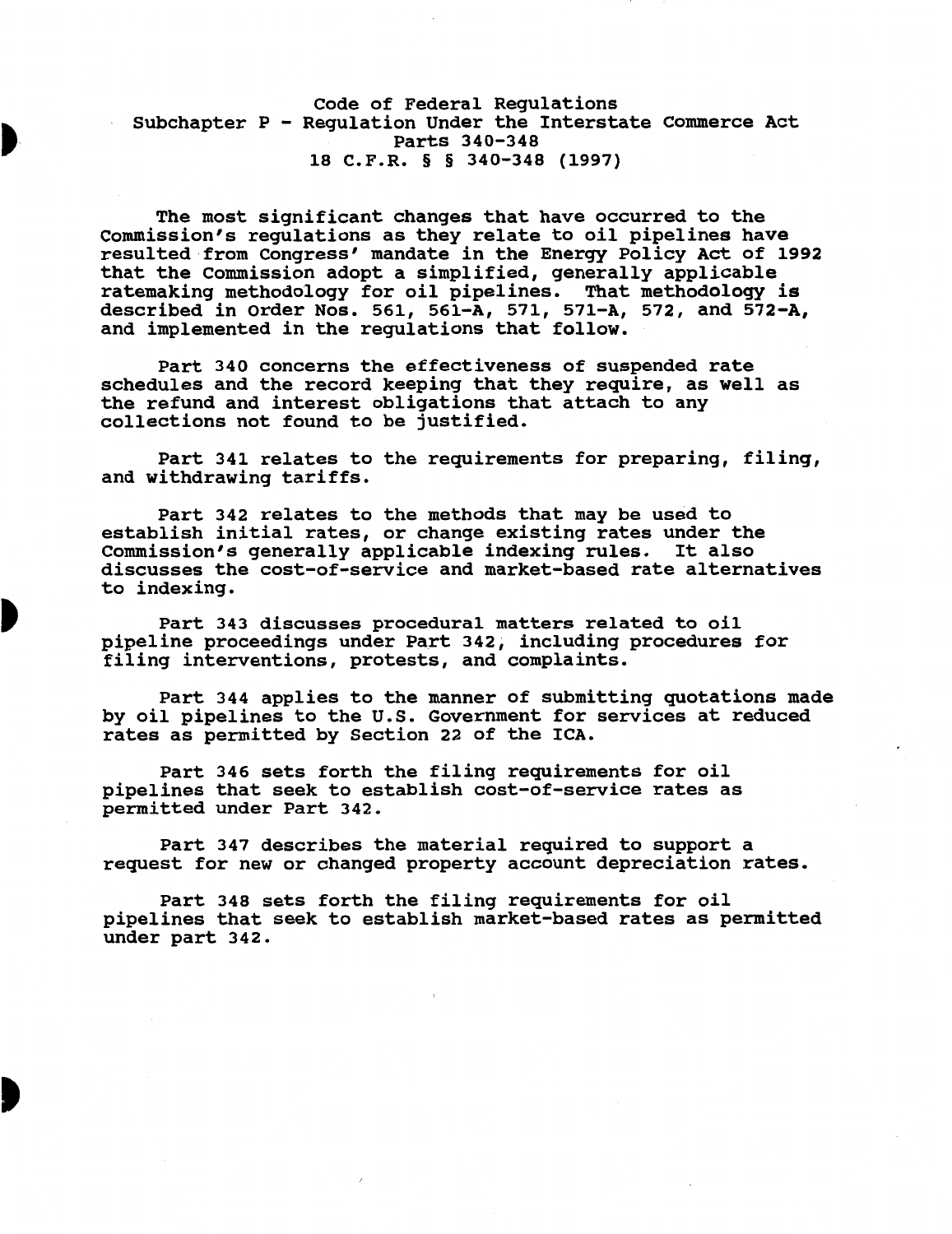### Code of Federal Regulations Subchapter P - Regulation Under the Interstate Commerce Act Parts 340-348 18 C.F.R. § § 340-348 (1997)

The most significant changes that have occurred to the Commission's regulations as they relate to oil pipelines have resulted from Congress' mandate in the Energy Policy Act of 1992 that the Commission adopt a simplified, generally applicable ratemaking methodology for oil pipelines. That methodology is described in Order Nos. 561, 561-A, 571, 571-A, 572, and 572-A, and implemented in the regulations that follow.

Part 340 concerns the effectiveness of suspended rate schedules and the record keeping that they require, as well as the refund and interest obligations that attach to any collections not found to be justified.

Part 341 relates to the requirements for preparing, filing, and withdrawing tariffs.

Part 342 relates to the methods that may be used to establish initial rates, or change existing rates under the Commission's generally applicable indexing rules. It also discusses the cost-of-service and market-based rate alternatives to indexing.

Part 343 discusses procedural matters related to oil pipeline proceedings under Part 342, including procedures for filing interventions, protests, and complaints.

Part 344 applies to the manner of submitting quotations made by oil pipelines to the U.S. Government for services at reduced rates as permitted by Section 22 of the ICA.

Part 346 sets forth the filing requirements for oil pipelines that seek to establish cost-of-service rates as permitted under Part 342.

Part 347 describes the material required to support a request for new or changed property account depreciation rates.

Part 348 sets forth the filing requirements for oil pipelines that seek to establish market-based rates as permitted under part 342.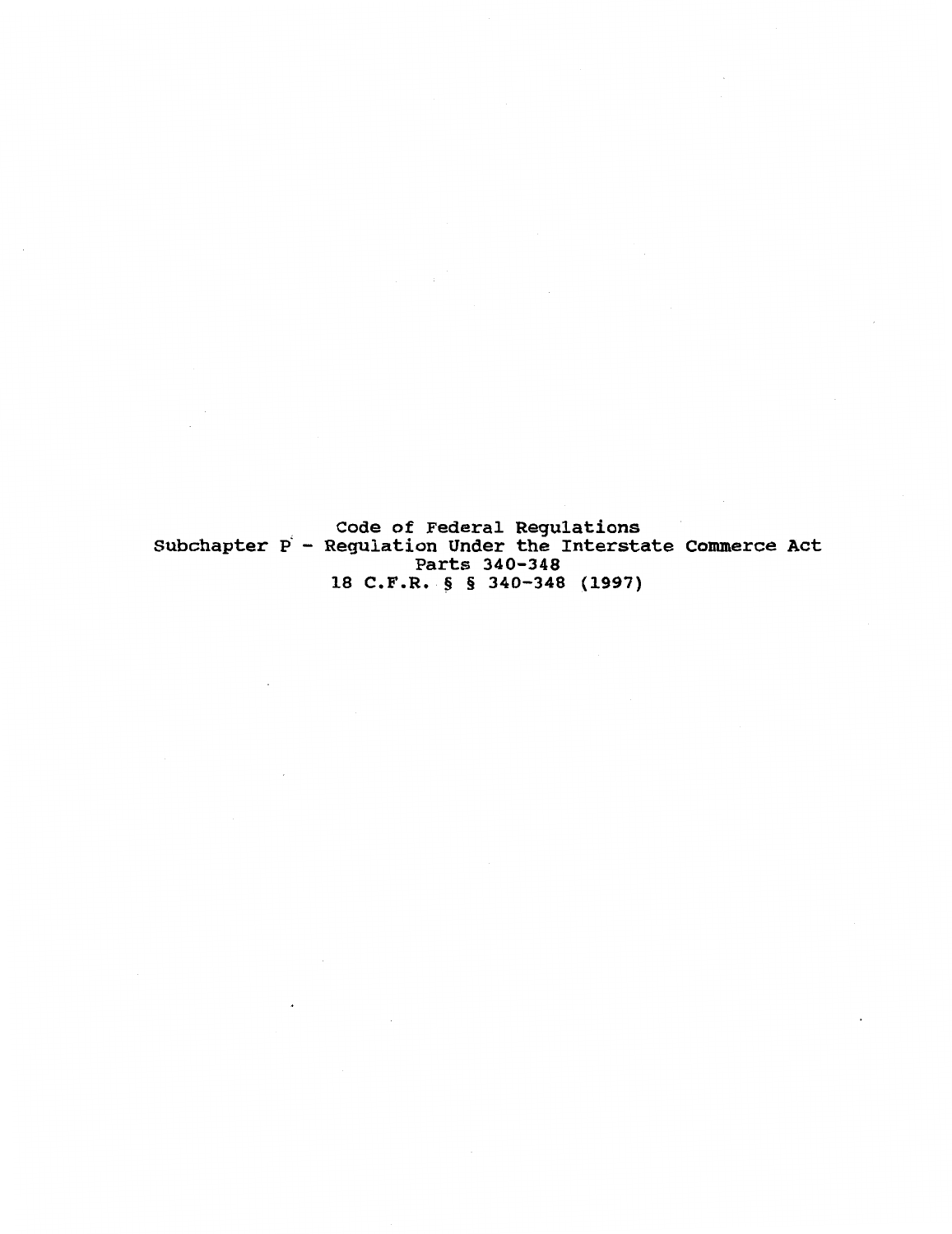Code of Federal Regulations<br>Subchapter P - Regulation Under the Interstate Parts 340-348 18 C.F.R. § § 340-348 (1997) commerce Act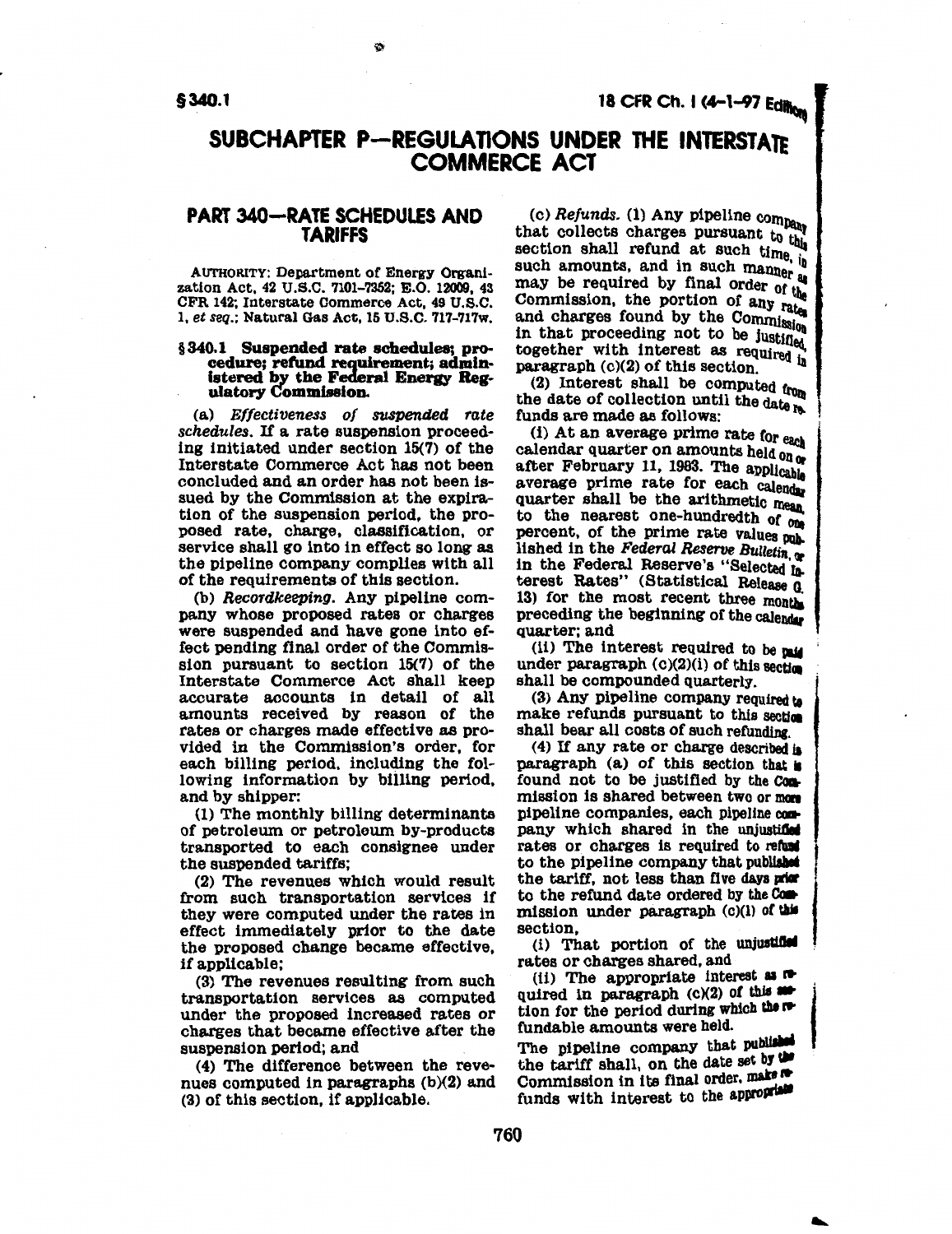### **§340.1** 18 CFR Ch. I (4-1-97 Edition

### SUBCHAPTER P-REGULATIONS UNDER THE INTERSTATE COMMERCE ACT

### PART 340-RATE SCHEDULES AND TARIFFS

AUTHORITY: Department of Energy Organlzation Act. 42 U.S.C. 7101-7352; E.O. 12009, 43 CFR 142; Interstate Commerce Act, 49 U.S.C. 1, *et seq.;* Natural Gas Act, 15 U.S.C. 717-717w.

### § 340.1 Suspended rate schedules; pro- cedure; refund requirement; administered by the Federal Energy Reg- ulatory Commission.

(a) *Effectiveness of suspended rate schedules. H* a rate suspension proceeding initiated under section 15(7) of the Interstate Commerce Act has not been concluded and an order has not been issued by the Commission at the expiration of the suspension period, the proposed rate, charge, classification, or service shall go into in effect so long as the pipeline company complies with all of the requirements of this section.

(b) *Recordkeeping.* Any pipeline company whose proposed rates or charges were suspended and have gone into effect pending final order of the Commission pursuant to section 15(7) of the Interstate Commerce Act shall keep accurate accounts in detail of all amounts received by reason of the rates or charges made effective as provided in the Commission's order, for each billing period, including the following information by billing period, and by shipper:

(1) The monthly billing determinants of petroleum or petroleum by-products transported to each consignee under the suspended tariffs;

(2) The revenues which would result from such transportation services if they were computed under the rates in effect immediately prior to the date the proposed change became effective, if applicable;

(3) The revenues resulting from such transportation services as computed under the proposed increased rates or charges that became effective after the suspension period; and

( 4) The difference between the revenues computed in paragraphs (b)(2} and (3) or this section, if applicable.

(c) *Refunds.* (1) Any pipeline company<br>that collects charges pursuant to this section shall refund at such time. it such amounts, and in such manner as may be required by final order of the<br>Commission, the portion of any rate and charges found by the Commission in that proceeding not to be justified together with interest as required  $\frac{1}{n}$  paragraph (c)(2) of this section.

(2) Interest shall be computed from the date of collection until the date re. funds are made as follows:

(i) At an average prime rate for each<br>calendar quarter on amounts held on  $\alpha$ after February 11, 1983. The applicable average prime rate for each calendar quarter shall be the arithmetic mean to the nearest one-hundredth of one percent, of the prime rate values pub. lished in the *Federal Reserve Bulletin*, or in the Federal Reserve's "Selected Interest Rates" (Statistical Release 0 13) for the most recent three months preceding the beginning of the calendar quarter; and

(ii) The interest required to be  $\mathbf{r}$ under paragraph  $(c)(2)(i)$  of this section shall be compounded quarterly.

(3) Any pipeline company required to make refunds pursuant to this section shall bear all costs of such refunding.

(4) If any rate or charge described is paragraph  $(a)$  of this section that is found not to be justified by the Commission is shared between two or men pipeline companies, each pipeline company which shared in the unjustified rates or charges is required to refund to the pipeline company that published<br>the tariff, not less than five days prior<br>to the refund date ordered by the Commission under paragraph  $(c)(1)$  of this section.

(i) That portion of the unjustified rates or charges shared, and

(ii) The appropriate interest as  $\pi$  quired in paragraph (c)(2) of this **set** tion for the period during which there fundable amounts were held.

The pipeline company that published the tariff shall, on the date set by the Commission in its final order, make  $\blacksquare$ funds with interest to the appropriate

...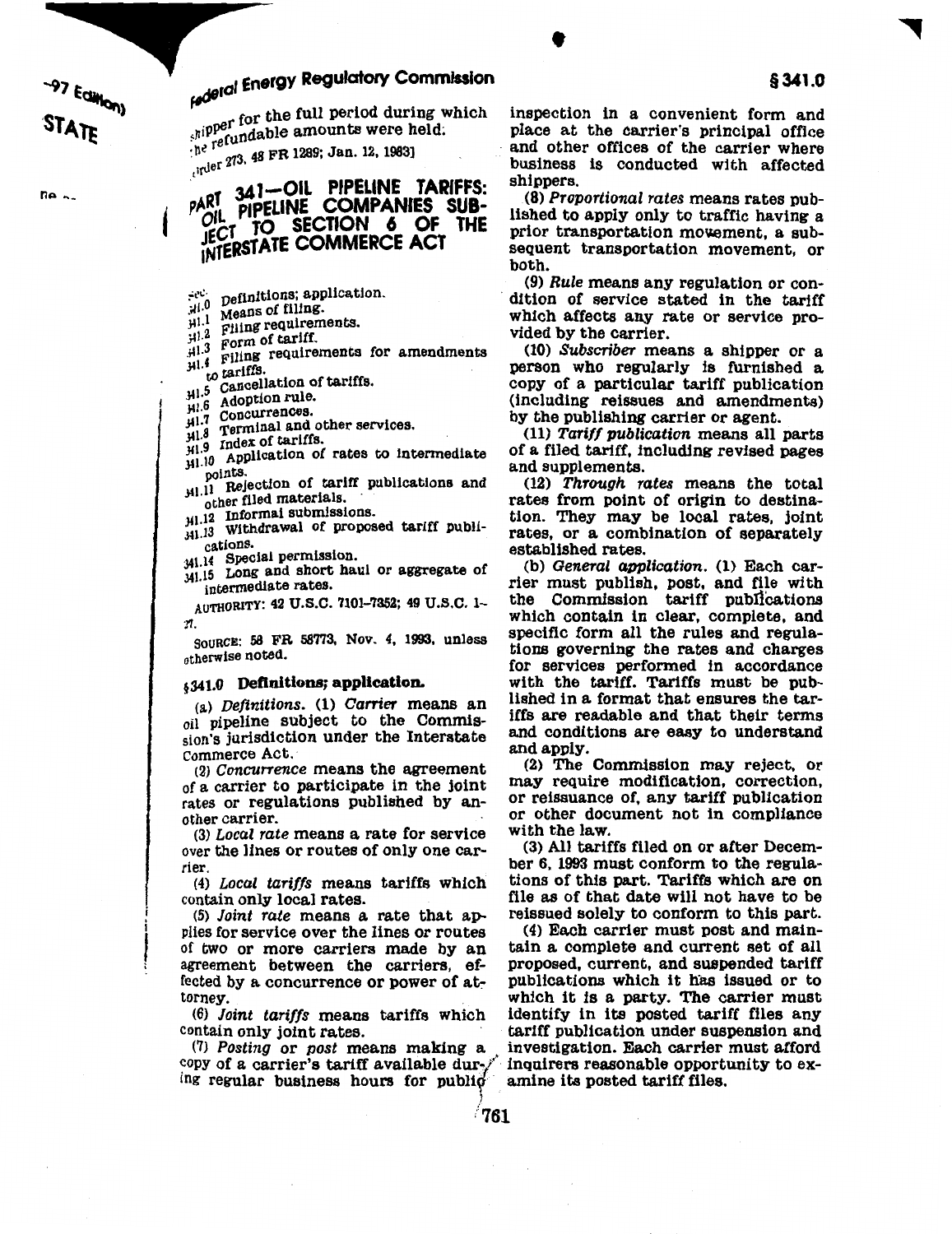ne ..

# **Faderal Energy Regulatory Commission**

<sub>for the full period during which</sub>  $\epsilon_n$ ipper redable amounts were held;

:<sup>ne 10</sup><br>
, lrder 273, 48 FR 1289; Jan. 12, 1983]

### **CONTA PIPELINE COMPANY**<br>JECT TO SECTION<br>INTERSTATE COMMERC PART 341-OIL PIPELINE TARIFFS: PART PIPELINE COMPANIES SUB- $T$  TO SECTION 6 OF THE INTERSTATE COMMERCE ACT

- 
- $\mu$ <sup>1.1</sup> Means of filing.<br> $\mu$ <sup>1.2</sup> Filing requirements.<br> $\mu$ <sup>1.3</sup> Form of tariff.
- 
- 
- HI. Filing requirements for amendments to tariffs.  $\frac{3}{10}$  tariffs.
- <sub>5</sub> Cancellation of tariffs.
- H<sub>1.5</sub> Adoption rule.<br>H<sub>1.6</sub> Adoption rule.
- $J$ <sup>11.7</sup> Concurrences.
- $\mu$ 1.8 Terminal and other services.<br> $\mu$ 1.9 Index of tariffs.
- 
- $m_{\mu1.9}^{11.9}$  Index of tariffs.<br> $m_{\mu1.10}^{11.9}$  Application of rates to intermediate
- points.<br> $\mu$ l.11 Rejection of tariff publications and other filed materials.
- $\mu$ 1.12 Informal submissions.
- $^{11.12}_{11.13}$  Withdrawal of proposed tariff publications.
- 341.14 Special permission.
- 341.15 Long and short haul or aggregate of intermediate rates.

AUTHORITY: 42 U.S.C. 7101-7352; 49 U.S.C. 1- 11.

souRcE: 58 FR 58'773, Nov. 4, 1993, unless otherwise noted.

sion's jurisdiction under the Interstate and conditions are easy to under the unit are easy to understand and apply. Commerce Act.

(3) Local rate means a rate for service with the law.<br>For the lines or routes of only one car-<br>(3) All tariffs filed on or after Decemover the lines or routes of only one car-

(4) Local tariffs means tariffs which contain only local rates.

(5) Joint rate means a rate that ap- reissued solely to conform to this part.<br>lies for service over the lines or routes (4) Each carrier must post and mainagreement between the carriers, effected by a concurrence or power of at-

ing regular business hours for public

inspection in a convenient form and place at the carrier's principal office and other offices of the carrier where business is conducted with affected shippers.

•

(8) Proportional rates means rates published to apply only to traffic having a prior transportation movement, a subsequent transportation movement, or both.<br>(9) *Rule* means any regulation or con-

dition of service stated in the tariff which affects any rate or service provided by the carrier.

(10) Subscriber means a shipper or a person who regularly is furnished a copy of a particular tariff publication (including reissues and amendments) by the publishing carrier or agent.

(11) Tariff publication means all parts of a filed tariff, including revised pages and supplements.

(12) Through rates means the total rates from point of origin to destination. They may be local rates, joint rates, or a combination of separately established rates.

(b) General application. (1) Each carrier must publish, post, and file with the Commission tariff pubil'cations which contain in clear, complete, and specific form all the rules and regulations governing the rates and charges for services performed in accordance  $\frac{1}{2}$ , 341.0 Definitions; application. with the tariff. Tariffs must be pub-<br>(a) Definitions (1) Carrier means and lished in a format that ensures the tar-(a) Definitions. (1) Carrier means and list of a format that ensures the tar-<br>include subject to the Commission iffs are readable and that their terms oil pipeline subject to the Commis-<br>is and conditions are easy to understand<br>is indicated and conditions are easy to understand

 $(2)$  Concurrence means the agreement  $(2)$  The Commission may reject, or of a carrier to participate in the joint may require modification, correction, rates or regulations published by an-<br>or reissuance of, any tariff publication<br>other carrier.<br> $\frac{1}{2}$  or  $\frac{1}{2}$  or  $\frac{1}{2}$  or  $\frac{1}{2}$  or  $\frac{1}{2}$  or  $\frac{1}{2}$  or  $\frac{1}{2}$  or  $\frac{1}{2}$  or  $\frac{1}{2}$  or  $\frac{1}{2}$ 

rier.<br>
the regula-<br>
(4) Local tariffs means tariffs which tions of this part. Tariffs which are on file as of that date will not have to be reissued solely to conform to this part.

plies for service over the lines or routes (4) Each carrier must post and main-<br>of two or more carriers made by an tain a complete and current set of all of two or more carriers made by an tain a complete and current set of all agreement, between the carriers, ef-<br>or proposed, current, and suspended tariff fected by a concurrence or power of at-<br>which it is a party. The carrier must<br>torney. orney.<br>(6) Joint tariffs means tariffs which identify in its posted tariff files any (6) Joint tariffs means tariffs which identify in its posted tariff files any contain only joint rates.  $\frac{1}{2}$  tariff publication under suspension and  $\frac{1}{2}$  contain only joint rates.<br>(7) Posting or post means making a investigation. Each carrier must afford (7) Posting or post means making a investigation. Each carrier must afford copy of a carrier's tariff available dur- $\hat{y}$  inquirers reasonable opportunity to exinquirers reasonable opportunity to examine its posted tariff files.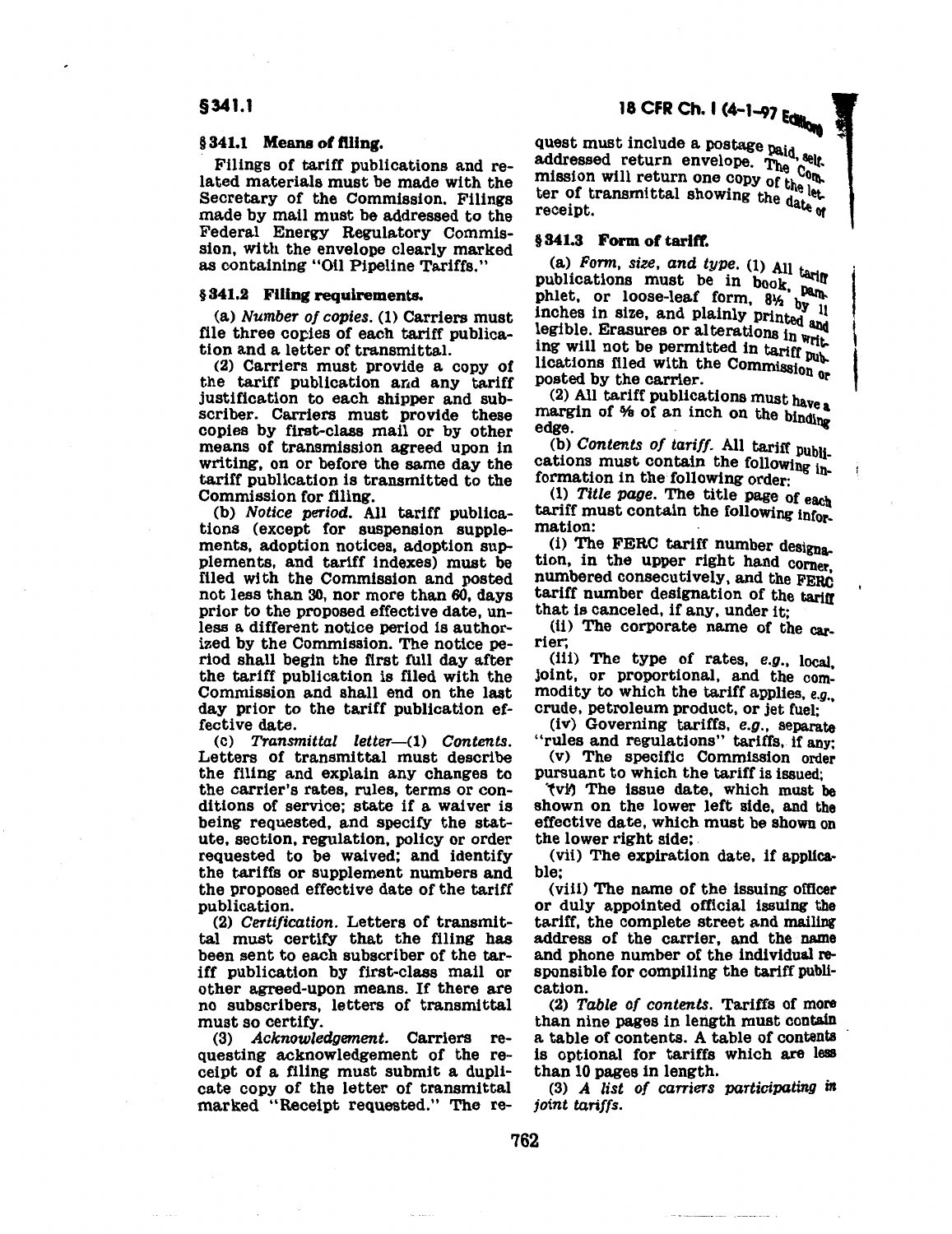### §341.1

#### §341.1 Means of filing.

Filings of tariff publications and related materials must be made with the Secretary of the Commission. Filings made by mail must be addressed to the Federal Energy Regulatory Commission, with the envelope clearly marked as containing "Oil Pipeline Tariffs."

### § 341.2 Filing requirements.

(a) Number of copies. (1) Carriers must file three copies of each tariff publication and a letter of transmittal.

(2) Carriers must provide a copy of the tariff publication and any tariff justification to each shipper and subscriber. Carriers must provide these copies by first-class mail or by other means of transmission agreed upon in writing, on or before the same day the tariff publication is transmitted to the Commission for filing.

(b) Notice period. All tariff publications (except for suspension supplements, adoption notices, adoption SUPplements, and tariff indexes) must be filed with the Commission and posted not less than 30, nor more than 60, days prior to the proposed effective date, unless a different notice period is authorized by the Commission. The notice period shall begin the first full day after the tariff publication is filed with the Commission and shall end on the last day prior to the tariff publication effective date.

 $(c)$  Transmittal letter- $(1)$  Contents. Letters of transmittal must describe the filing and explain any changes to the carrier's rates, rules, terms or conditions of service; state if a waiver is being requested, and specify the statute, section, regulation, policy or order requested to be waived; and identify the tariffs or supplement numbers and the proposed effective date of the tariff publication.

(2) Certification. Letters of transmittal must certify that the filing has been sent to each subscriber of the tariff publication by first-class mail or other agreed-upon means. If there are no subscribers, letters of transmittal must so certify.

(3) Acknowledgement. Carriers requesting acknowledgement of the receipt of a filing must submit a duplicate copy of the letter of transmittal marked "Receipt requested." The request must include a postage paid, self. addressed return envelope, The Company of the Company of the Company of the Company of the Company of the Comp mission will return one copy of the let ter of transmittal showing the date receipt.  $\frac{d}{dt}$  and  $\frac{d}{dt}$  are  $\frac{d}{dt}$  and  $\frac{d}{dt}$ 

§ 341.3 Form of tariff.<br>(a) Form, size, and type. (1) All tariff publications must be in book,  $pa_{\text{th}}$ <br>phlet, or loose-leaf form,  $8\frac{1}{2}$  by  $\frac{1}{11}$ phlet, or loose-leaf form, 81 inches in size, and plainly printed and legible. Erasures or alterations in  $w$ rit ing will not be permitted in tariff publications filed with the Commission or  $\left\{ \right.$  posted by the carrier.

 $(2)$  All tariff publications must have a margin of  $%$  of an inch on the binding edge.

(b) Contents of tariff. All tariff  $p_{\text{ub}}$ cations must contain the following information in the following order:

 $(1)$  Title page. The title page of each tariff must contain the following information:

(i) The FERC tariff number designation, in the upper right hand corner numbered consecutively, and the FERC tariff number designation of the tariff that is canceled, if any, under it;

(ii) The corporate name of the carrier;

(iii) The type of rates, e.g., local. joint, or proportional, and the commodity to which the tariff applies, *e.g.,*  crude, petroleum product, or jet fuel;

(iv) Governing tariffs, e.g., separate "rules and regulations" tariffs, if any;

{v) The specific Commission order pursuant to which the tariff is issued;

(vi) The issue date, which must be shown on the lower left side, and the effective date, which must be shown on the lower right side;

(vii) The expiration date, if applicable;

(viii) The name of the issuing officer or duly appointed official issuing the tariff, the complete street and mailing address of the carrier, and the name and phone number of the individual responsible for compiling the tariff publication.

(2) Table of contents. Tariffs of more than nine pages in length must contain a table of contents. A table of contents is optional for tariffs which are less than 10 pages in length.

(3) A list of carriers participating in *joint tariffs.*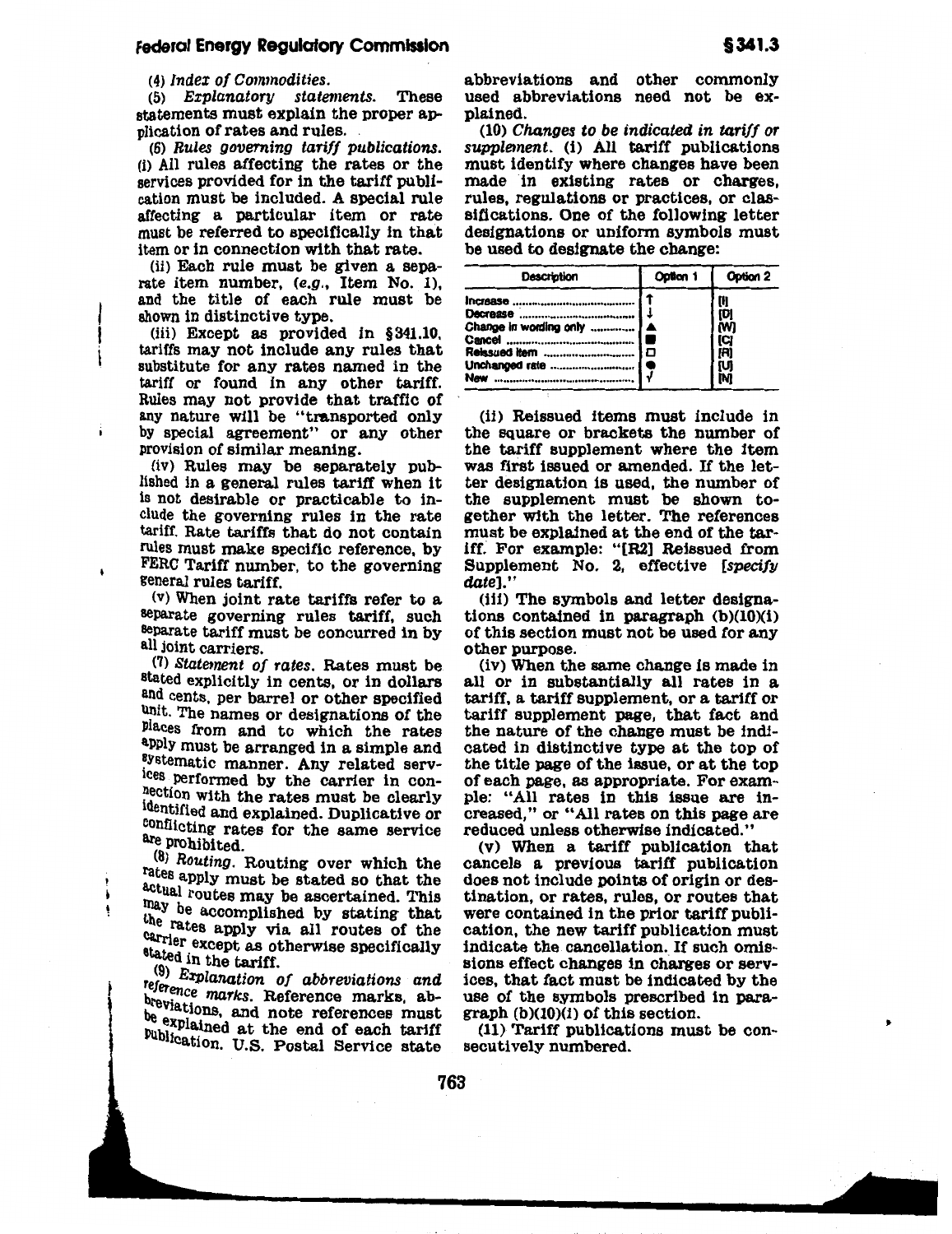(5) Explanatory statements. These statements must explain the proper application of rates and rules.

(6) Rules governing tariff publications. (i) All rules affecting the rates or the services provided for in the tariff publication must be included. A special rule affecting a particular item or rate must be referred to specifically in that item or in connection with that rate.

(ii) Each rule must be given a separate item number, (e.g., Item No. 1), and the title of each rule must be shown in distinctive type.

(iii) Except as provided in §341.10, tariffs may not include any rules that substitute for any rates named in the tariff or found in any other tariff. Rules may not provide that traffic of any nature will be "transported only by special agreement" or any other provision of similar meaning.

(iv) Rules may be separately published in a general rules tariff when it is not desirable or practicable to include the governing rules in the rate tariff. Rate tariffs that do not contain rules must make specific reference, by FERC Tariff number, to the governing general rules tariff.

(v) When joint rate tariffs refer to a separate governing rules tariff, such separate tariff must be concurred in by all joint carriers.

(7) Statement of rates. Rates must be stated explicitly in cents, or in dollars and cents, per barrel or other specified umt. The names or designations of the Places from and to which the rates apply must be arranged in a simple and aystematic manner. Any related serv-Ices performed by the carrier in conhection with the rates must be clearly identified and explained. Duplicative or conflicting rates for the same service are prohibited.

(8) Routing. Routing over which the rates apply must be stated so that the actual routes may be ascertained. This they be accomplished by stating that the rates apply via all routes of the carrier except as otherwise specifically stated in the tariff.

 $(9)$  Explanation of abbreviations and reference marks. Reference marks, abbreviations, and note references must be explained at the end of each tariff publication. U.S. Postal Service state

abbreviations and other commonly used abbreviations need not be explained.

(10) Changes to be indicated in tariff or supplement. (i) All tariff publications must identify where changes have been made in existing rates or charges, rules, regulations or practices, or classifications. One of the following letter designations or uniform symbols must be used to designate the change:

| <b>Description</b>                                                | Option 1 | Option 2 |
|-------------------------------------------------------------------|----------|----------|
| Change in wording only    A<br>Relasued item  1<br>Unchanged rate | Đ<br>r   | D        |

(ii) Reissued items must include in the square or brackets the number of the tariff supplement where the item was first issued or amended. If the letter designation is used, the number of the supplement must be shown together with the letter. The references must be explained at the end of the tariff. For example: "[R2] Reissued from Supplement No. 2, effective [specify date]."

(iii) The symbols and letter designations contained in paragraph (b)(10)(i) of this section must not be used for any other purpose.

(iv) When the same change is made in all or in substantially all rates in a tariff, a tariff supplement, or a tariff or tariff supplement page, that fact and the nature of the change must be indicated in distinctive type at the top of the title page of the issue, or at the top of each page, as appropriate. For example: "All rates in this issue are increased," or "All rates on this page are reduced unless otherwise indicated."

(v) When a tariff publication that cancels a previous tariff publication does not include points of origin or destination, or rates, rules, or routes that were contained in the prior tariff publication, the new tariff publication must indicate the cancellation. If such omissions effect changes in charges or services, that fact must be indicated by the use of the symbols prescribed in para $graph (b)(10)(i)$  of this section.

(11) Tariff publications must be consecutively numbered.

I , , ll-' • I~ ,, I I , ,, "'-

•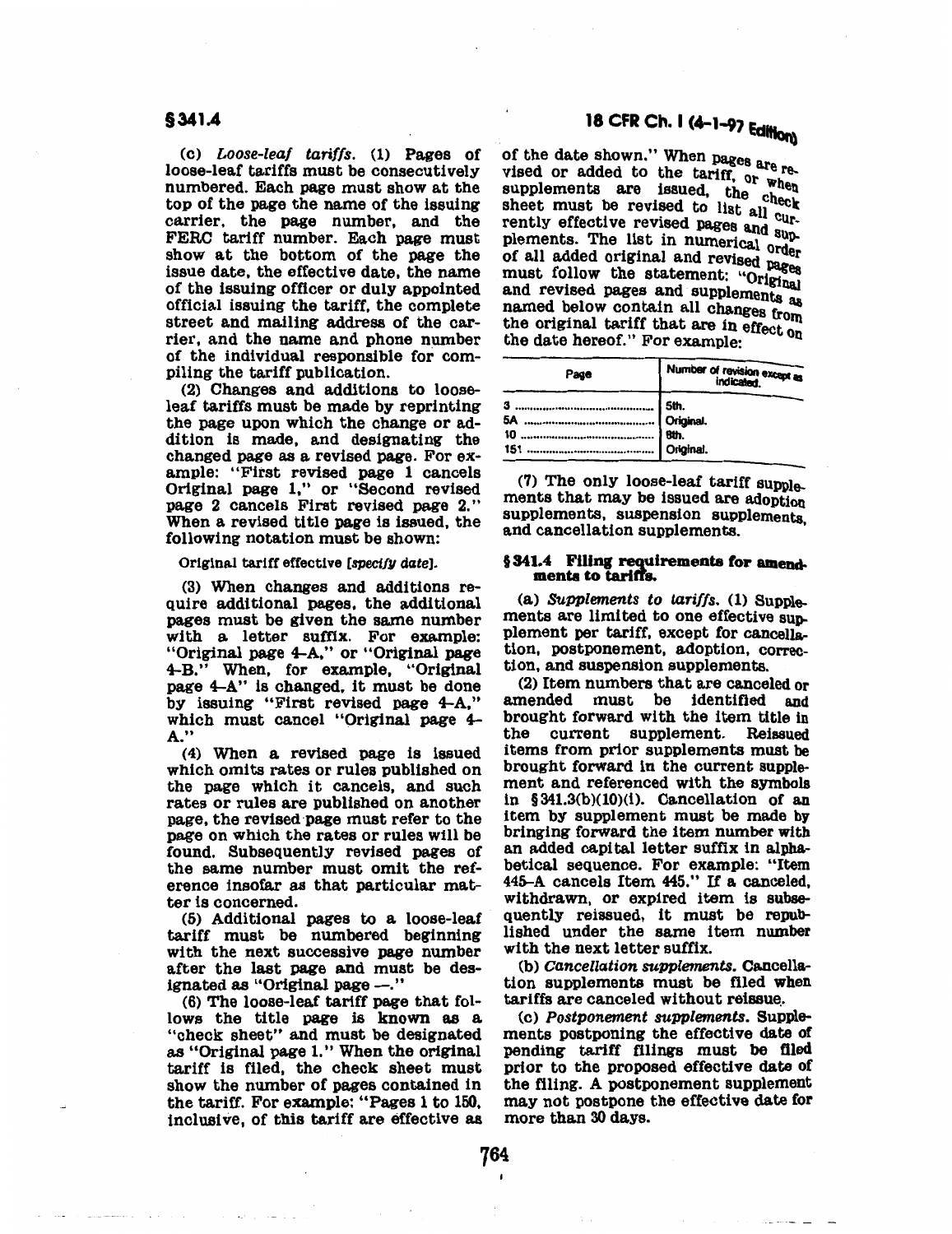(c) *Loose-leaf tariffs.* (1) Pages of loose-leaf tariffs must be consecutively numbered. Each page must show at the top of the page the name of the issuing carrier, the page number, and the FERC tariff number. Each page must show at the bottom of the page the issue date, the effective date, the name of the issuing officer or duly appointed official issuing the tariff, the complete street and mailing address of the carrier, and the name and phone number of the individual responsible for compiling the tariff publication.

(2) Changes and additions to looseleaf tariffs must be made by reprinting the page upon which the change or addition is made, and designating the changed page as a revised page. For example: "First revised page 1 cancels Original page 1," or "Second revised page 2 cancels First revised page 2." When a revised title page is issued, the following notation must be shown:

Original tariff effective [specify date].

(3) When changes and additions require additional pages, the additional pages must be given the same number with a letter suffix. For example: "Original page 4-A," or "Original page 4-B.'' When, for example, "Original page 4-A" is changed, it must be done by issuing "First revised page 4-A," which must cancel "Original page 4- A."

( 4) When a revised page is issued which omits rates or rules published on the page which it cancels, and such rates or rules are published on another page, the revised page must refer to the page on which the rates or rules will be found. Subsequently revised pages of the same number must omit the reference insofar as that particular matter is concerned.

(5) Additional pages to a loose-leaf tariff must be numbered beginning with the next successive page number after the last page and must be designated as "Original page -."

(6) The loose-leaf tariff page that follows the title page is known as a "check sheet" and must be designated as "Original page 1." When the original tariff is filed, the check sheet must show the number of pages contained in the tariff. For example: "Pages 1 to 150, inclusive, of this tariff are effective as of the date shown." When pages are revised or added to the tariff, or when supplements are issued, the register and sheet must be revised to list all cursheet must be revised pages and supplements. The list in numerical order of all added original and revised pages<br>must follow the statement: "Original" must follow the state state statements as named below contain all changes from the original tariff that are in effect on the date hereof." For example:

| Page | Number of revision except as |  |
|------|------------------------------|--|
|      |                              |  |

(7) The only loose-leaf tariff supple-<br>ments that may be issued are adoption supplements, suspension supplements, and cancellation supplements.

### § 341.4 Filing requirements for amendmenta to tariffs.

(a) *Supplements to tariffs.* (1) Supplements are limited to one effective sup. plement per tariff, except for cancellation, postponement, adoption, correction, and suspension supplements.

(2) Item numbers that are canceled or amended must be identified and brought forward with the item title in the current supplement. Reissued items from prior supplements must be brought forward in the current supplein  $$341.3(b)(10)(i)$ . Cancellation of an item by supplement must be made by bringing forward the item number with an added capital letter suffix in alphabetical sequence. For example: "Item 445-A cancels Item 445." If a canceled, withdrawn, or expired item is subsequently reissued, it must be republished under the same item number with the next letter suffix.

(b) *Cancellation supplements.* Cancellation supplements must be filed when

tariffs are canceled without reissue .. (c) *Postponement supplements.* Supplements postponing the effective date of pending tariff filings must be filed prior to the proposed effective date of the filing. A postponement supplement may not postpone the effective date for more than 30 days.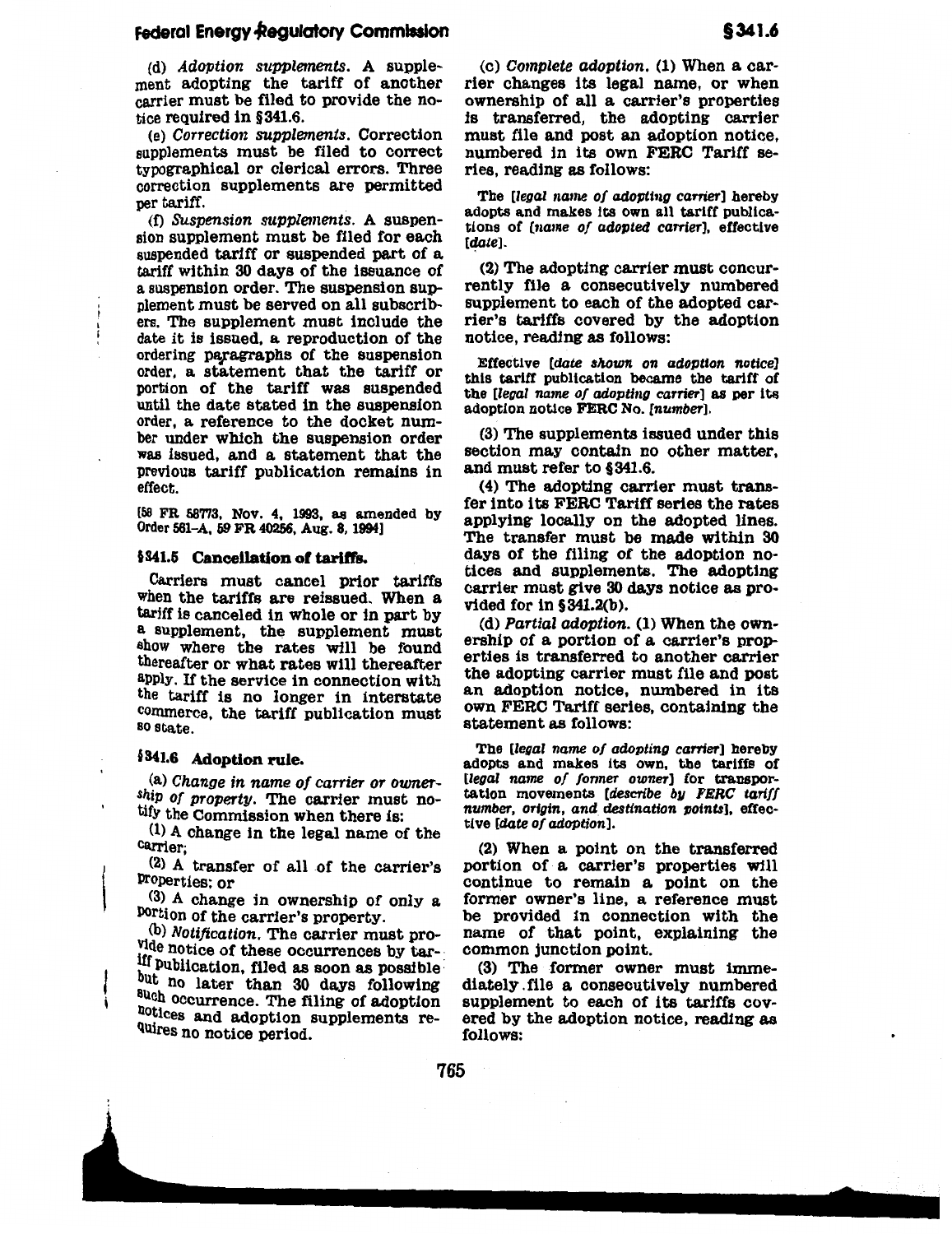### **Federal Energy Regulatory Commission**

(d) Adoption supplements. A supplement adopting the tariff of another carrier must be filed to provide the notice required in § 341.6.

(e) Correction supplements. Correction supplements must be filed to correct typographical or clerical errors. Three correction supplements are permitted per tariff.

(f) SUspension supplements. A suspension supplement must be filed for each suspended tariff or suspended part of a tariff within 30 days of the issuance of a suspension order. The suspension supplement must be served on all subscribers. The supplement must include the date it is issued, a reproduction of the ordering paragraphs of the suspension order, a statement that the tariff or portion of the tariff was suspended until the date stated in the suspension order, a reference to the docket number under which the suspension order was issued, and a statement that the previous tariff publication remains in effect.

[58 FR 587'13, Nov. 4, 1993, as amended by Order 561-A, 59 FR 40256, Aug. 8, 1994]

#### §341.5 Cancellation of tariffs.

Carriers must cancel prior tariffs when the tariffs are reissued. When a tariff is canceled in whole or in part by a supplement, the supplement must show where the rates will be found thereafter or what rates will thereafter apply. If the service in connection with the tariff is no longer in interstate commerce, the tariff publication must so state.

### §341.6 Adoption rule.

(a) Change in name of carrier or ownership of property. The carrier must notify the Commission when there is:

{1) A change in the legal name of the C&rrier;

 $(2)$  A transfer of all of the carrier's Properties; or

(3} A change in ownership of only a Portion of the carrier's property.

(b) Notification. The carrier must provide notice of these occurrences by tar-<sup>11</sup> Publication, filed as soon as possible: but no later than 30 days following<br>auch occurrence. The filing of adoption notices and adoption supplements re-QUires no notice period.

(c) Complete adoption. (1) When a carrier changes its legal name, or when ownership of all a carrier's properties is transferred, the adopting carrier must file and post an adoption notice, numbered in its own FERC Tariff series, reading as follows:

The [legal name of adopting carrier] hereby adopts and makes its own all tariff publications of [name of adopted carrier], effective [date].

(2) The adopting carrier must concurrently file a consecutively numbered supplement to each of the adopted carrier's tariffs covered by the adoption notice, reading as follows:

Effective [date shown on adoption notice] this tariff publication became the tariff of the [legal name of adopting carrier] as per its adoption notice FERC No. [number].

(3) The supplements issued under this section may contain no other matter, and must refer to §341.6.

(4) The adopting carrier must transfer into its FERC Tariff series the rates applying locally on the adopted lines. The transfer must be made within 30 days of the filing of the adoption notices and supplements. The adopting carrier must give 30 days notice as provided for in §341.2(b).

(d) Partial adoption. (1) When the ownership of a portion of a carrier's properties is transferred to another carrier the adopting carrier must file and post an adoption notice, numbered in its own FERC Tariff series, containing the statement as follows:

The [legal name of adopting carrier] hereby adopts and makes its own, the tariffs of [legal name of former owner] for transportation movements [describe by FERC tariff number, origin, and destination points], effective {date of adoption].

(2) When a point on the transferred portion of a carrier's properties will continue to remain a point on the former owner's line, a reference must be provided in connection with the name of that point, explaining the common junction point.

(3) The former owner must immediately . file a consecutively numbered supplement to each of its tariffs covered by the adoption notice, reading as follows:

765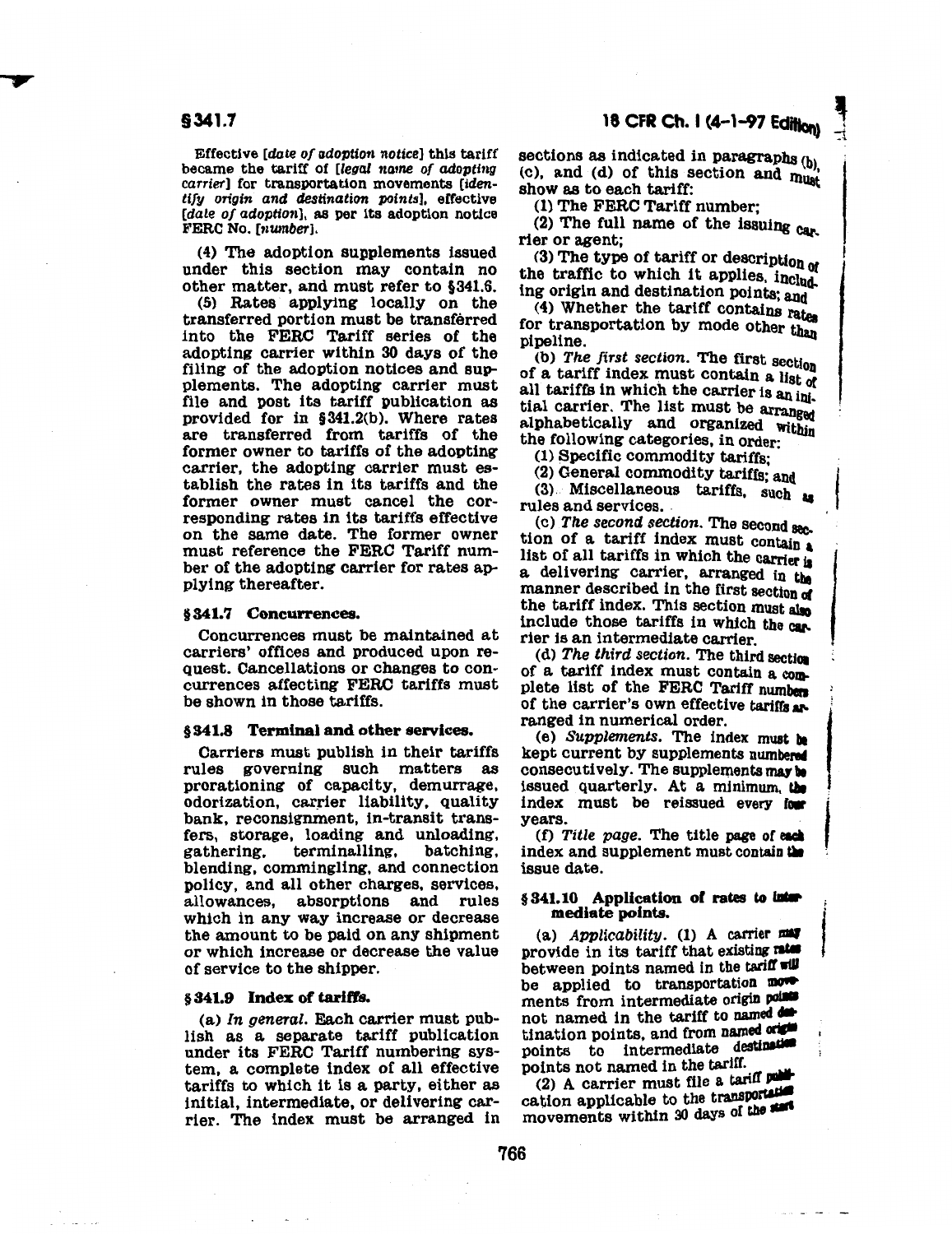### §341.7

Effective [date of adoption notice] this tariff became the tariff of [legal name of adopting carrier] for transportation movements [identifY origin and destination points], effective [date of adoption], as per its adoption notice FERC No. [nwnber].

(4) The adoption supplements issued under this section may contain no other matter, and must refer to §341.6.

(5) Rates applying locally on the transferred portion must be transferred into the FERC Tariff series of the adopting carrier within 30 days of the filing of the adoption notices and supplements. The adopting carrier must file and post its tariff publication as provided for in §341.2(b). Where rates are transferred from tariffs of the former owner to tariffs of the adopting carrier, the adopting carrier must establish the rates in its tariffs and the former owner must cancel the corresponding rates in its tariffs effective on the same date. The former owner must reference the FERC Tariff number of the adopting carrier for rates applying thereafter.

#### § 341.7 Concurrences.

Concurrences must be maintained at carriers' offices and produced upon request. Cancellations or changes to concurrences affecting FERC tariffs must be shown in those tariffs.

#### §341.8 Terminal and other services.

Carriers must publish in their tariffs rules governing such matters as prorationing of capacity, demurrage, odorization, carrier liability, quality bank, reconsignment, in-transit transfers, storage, loading and unloading,<br>gathering, terminalling, batching, terminalling, blending, commingling, and connection policy, and all other charges, services, allowances, absorptions and rules which in any way increase or decrease the amount to be paid on any shipment or which increase or decrease the value of service to the shipper.

### § 341.9 Index of tariffs.

(a) In general. Each carrier must publish as a separate tariff publication under its FERC Tariff numbering system, a complete index of all effective tariffs to which it is a party, either as initial, intermediate, or delivering carrier. The index must be arranged in  $-1$ 

I

sections as indicated in paragraphs  $(b)$ (c), and (d) of this section and  $m_{\text{unif}}$ show as to each tariff:

(1) The FERC Tariff number;

(2) The full name of the issuing car. rier or agent;

 $(3)$  The type of tariff or description of the traffic to which it applies, including origin and destination points; and

(4) Whether the tariff contains rates for transportation by mode other than pipeline.

(b) The first section. The first section of a tariff index must contain a list *ot*  all tariffs in which the carrier is an initial carrier. The list must be arranged alphabetically and organized within the following categories, in order:

(1) Specific commodity tariffs;

(2) General commodity tariffs; and

 $(3)$  Miscellaneous tariffs, such as

rules and services.<br>(c) The second section. The second section of a tariff index must contain a list of all tariffs in which the carrier is<br>a delivering carrier, arranged in the manner described in the first section of the tariff index. This section must also include those tariffs in which the car. rier is an intermediate carrier.

(d) The third section. The third section of a tariff index must contain a complete list of the FERC Tariff numbers of the carrier's own effective tariffs arin numerical order.

ranged in numerical order.<br>(e) *Supplements*. The index must be kept current by supplements numbered consecutively. The supplements may be issued quarterly. At a minimum, the index must be reissued every four years.

(f) Title page. The title page of each index and supplement must contain the issue date.

### §341.10 Application of rates to intermediate points.

(a)  $Applicability.$  (1) A carrier  $\blacksquare$ provide in its tariff that existing rates between points named in the tariff  $\n **full**\n be applied to transportation$ ments from intermediate origin points not named in the tariff to named  $\overline{\text{d}}$ tination points, and from named origin<br>points to intermediate destination<br>points not named in the tariff.

(2) A carrier must file a tariff publication applicable to the transportation movements within 30 days of the start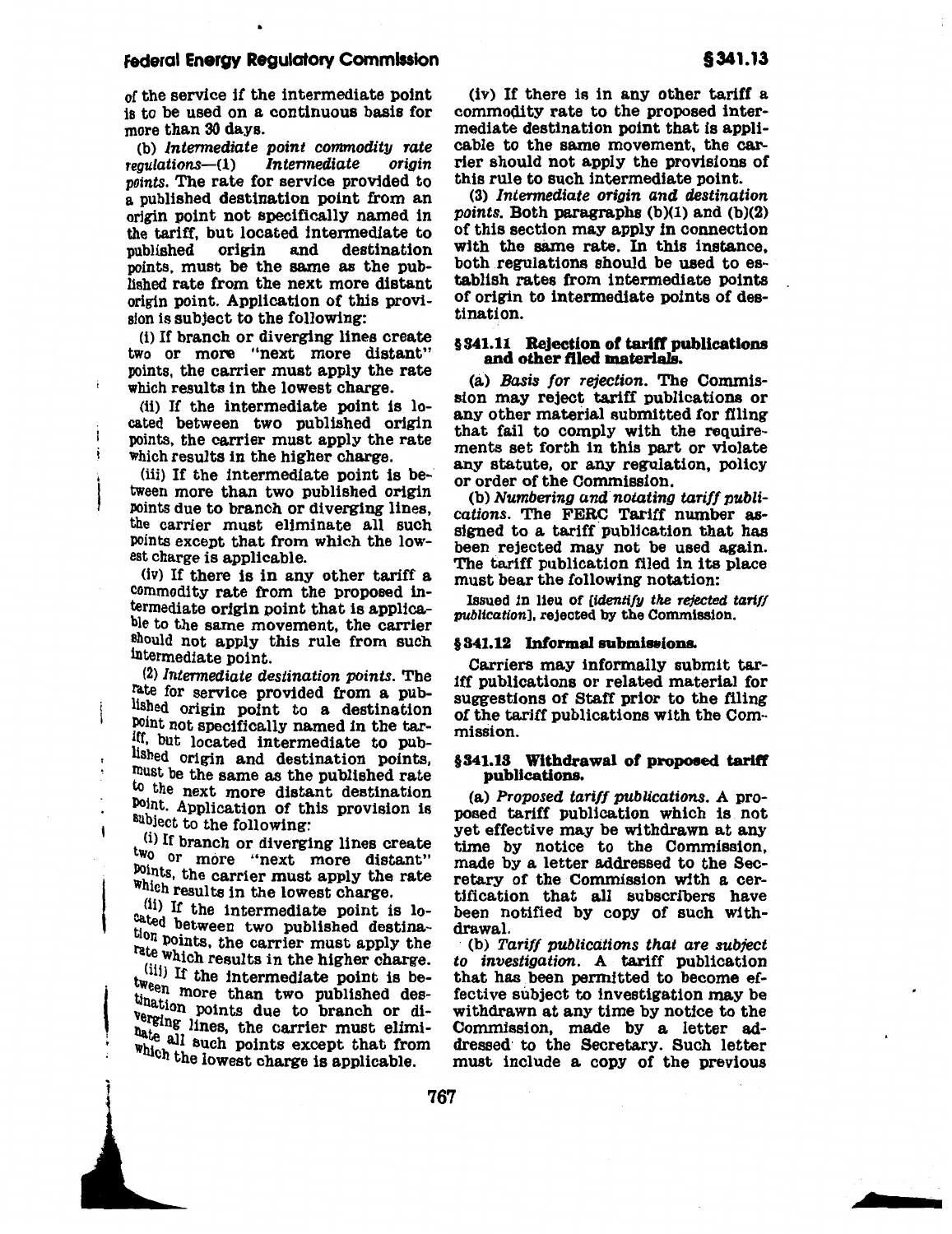### Federal Energy Regulatory Commission

of the service if the intermediate point is to be used on a continuous basis for more than 30 days.

(b) Intermediate point commodity rate<br>coulations— $(1)$  Intermediate origin  $requlation$ s $-(1)$ points. The rate for service provided to a published destination point from an origin point not specifically named in the tariff, but located intermediate to<br>published origin and destination origin and points, must be the same as the published rate from the next more distant origin point. Application of this provision is subject to the following:

(i) If branch or diverging lines create two or more "next more distant" points, the carrier must apply the rate which results in the lowest charge.

(ii) If the intermediate point is located between two published origin points, the carrier must apply the rate which results in the higher charge.

(iii) If the intermediate point is between more than two published origin points due to branch or diverging lines, the carrier must eliminate all such points except that from which the lowest charge is applicable.

(iv) If there is in any other tariff a commodity rate from the proposed intermediate origin point that is applicable to the same movement, the carrier should not apply this rule from such intermediate point.

(2) Intermediate destination points. The rate for service provided from a published origin point to a destination POint not specifically named in the tariff, but located intermediate to published origin and destination points, rnust be the same as the published rate to the next more distant destination POint. Application of this provision is subject to the following:

 $t$  (i) If branch or diverging lines create two or more "next more distant" <sup>points</sup>, the carrier must apply the rate which results in the lowest charge.

 $(ii)$  If the intermediate point is located between two published destination points, the carrier must apply the rate which results in the higher charge.

 $\overline{\phantom{a}}$  $\frac{\text{(iii)}}{\text{If the intermediate point is between the point.}}$ tween more than two published des- $_{\text{Verni}}$  points due to branch or diverging lines, the carrier must elimihate all such points except that from which the lowest charge is applicable.

•

(iv) If there is in any other tariff a commodity rate to the proposed intermediate destination point that is applicable to the same movement, the carrier should not apply the provisions of this rule to such intermediate point.

(3) Intermediate origin and destination points. Both paragraphs  $(b)(1)$  and  $(b)(2)$ of this section may apply in connection with the same rate. In this instance, both regulations should be used to establish rates from intermediate points of origin to intermediate points of destination.

### § 341.11 Rejection of tariff publications and other flied materialS.

(a) Basis {or rejection. The Commission may reject tariff publications or any other material submitted for filing that fail to comply with the requirements set forth in this part or violate any statute, or any regulation, policy or order of the Commission.

(b) Numbering and notating tariff publications. The FERC Tariff number assigned to a tariff publication that has been rejected may not be used again. The tariff publication filed in its place must bear the following notation:

Issued in lieu of [identify the rejected tariff publication], rejected by the Commission.

#### §341.12 Informal submissions.

Carriers may informally submit tariff publications or related material for suggestions of Staff prior to the filing of the tariff publications with the Commission.

#### §341.13 Withdrawal of proposed tariff publications.

(a) Proposed tariff publications. A proposed tariff publication which is not yet effective may be withdrawn at any time by notice to the Commission, made by a letter addressed to the Secretary of the Commission with a certification that all subscribers have been notified by copy of such withdrawal.

(b) Tariff publications that are subject to investigation. A tariff publication that has been permitted to become effective subject to investigation may be withdrawn at any time by notice to the Commission, made by a letter addressed· to the Secretary. Such letter must include a copy of the previous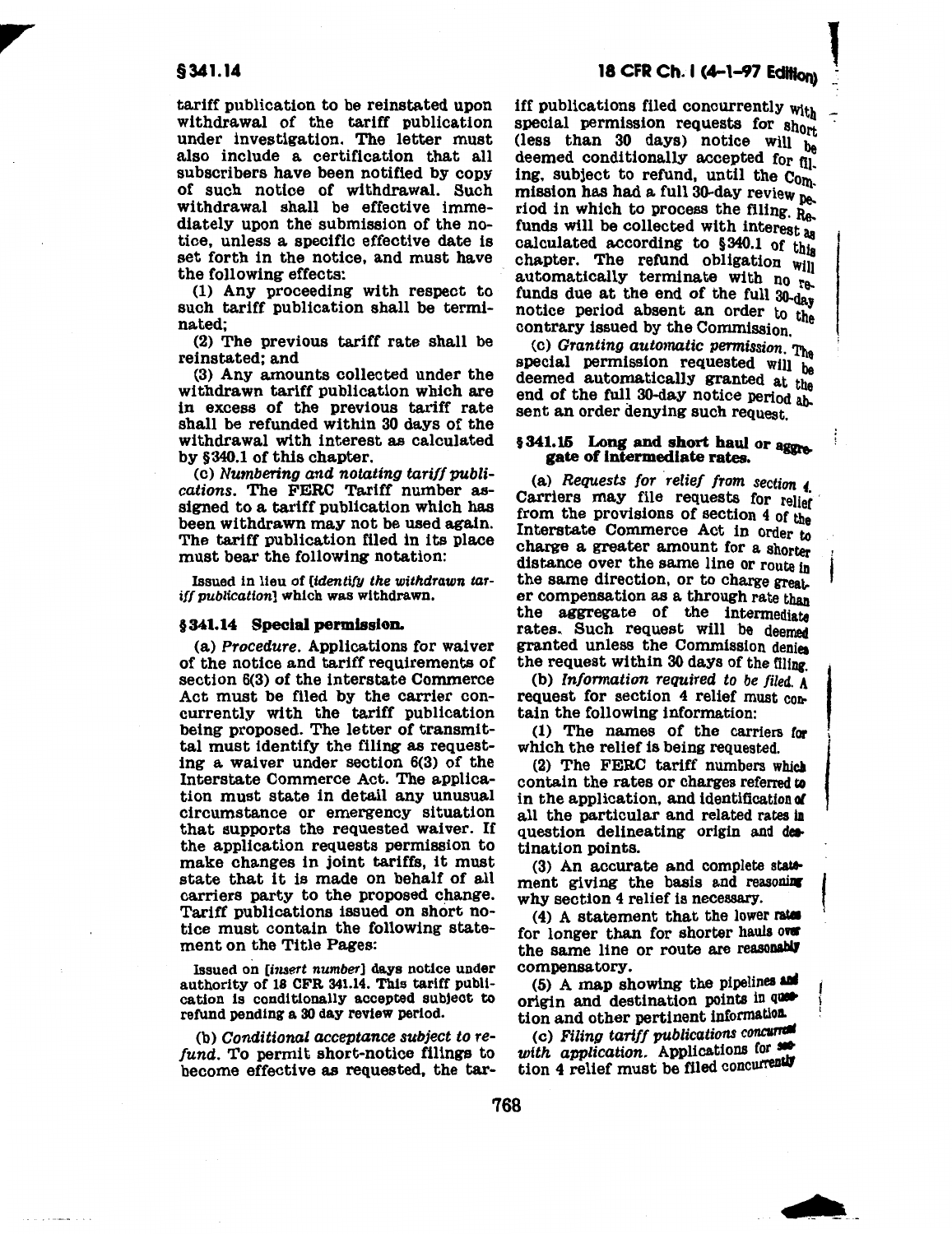tariff publication to be reinstated upon withdrawal of the tariff publication under investigation. The letter must also include a certification that all subscribers have been notified by copy of such notice of withdrawal. Such withdrawal shall be effective immediately upon the submission of the notice, unless a specific effective date is set forth in the notice, and must have the following effects:

(1) Any proceeding with respect to such tariff publication shall be terminated;

(2) The previous tariff rate shall be reinstated; and

(3) Any amounts collected under the withdrawn tariff publication which are in excess of the previous tariff rate shall be refunded within 30 days of the withdrawal with interest as calculated by §340.1 of this chapter.

(c) Numbering and notating tariff publications. The FERC Tariff number assigned to a tariff publication which has been withdrawn may not be used again. The tariff publication filed in its place must bear the following notation:

Issued in lieu of [identify the withdrawn tar*ill* publication] which was withdrawn.

### §341.14 Special permission.

(a) Procedure. Applications for waiver of the notice and tariff requirements of section 6(3) of the interstate Commerce Act must be filed by the carrier concurrently with the tariff publication being proposed. The letter of transmittal must identify the filing as requesting a waiver under section 6(3) of the Interstate Commerce Act. The application must state in detail any unusual circumstance or emergency situation that supports the requested waiver. If the application requests permission to make changes in joint tariffs, it must state that it is made on behalf of all carriers party to the proposed change. Tariff publications issued on short notice must contain the following statement on the Title Pages:

Issued on [insert number] days notice under authority of 18 CFR 341.14. This tariff publication is conditionally accepted subject to refund pending a 30 day review period.

 $(b)$  Conditional acceptance subject to refund. To permit short-notice filings to become effective as requested, the tar-

iff publications filed concurrently  $w_{ith}$  special permission requests for  $sh_{0rt}$ (less than 30 days) notice Will be deemed conditionally accepted for  $f_{11}$ . ing, subject to refund, until the Com.  $m$ ission has had a full 30-day review  $p_e$ . riod in which to process the filing. Re. funds will be collected with interest aa calculated according to  $$340.1$  of this chapter. The refund obligation will automatically terminate with no re.. funds due at the end of the full 30-da notice period absent an order to the contrary issued by the Commission.

(c) Granting automatic permission. The special permission requested will be deemed automatically granted at the end of the full 30-day notice period absent an order denying such request.

### §341.15 Long and short haul or aggregate of Intermediate rates.

(a) Requests for relief from section  $\ell$ .<br>Carriers may file requests for relief from the provisions of section 4 of the Interstate Commerce Act in order to charge a greater amount for a shorter distance over the same line or route in the same direction, or to charge greater compensation as a through rate than the aggregate of the intermediate rates. Such request will be deemed granted unless the Commission denies

the request within 30 days of the filing.<br>(b) Information required to be filed.  $A$ (b) Information required to be filed. A request for section 4 relief must con-<br>tain the following information:<br>(1) The names of the carriers for<br>which the relief is being requested.<br>(2) The FERC tariff numbers which tain the following information:

(1) The names of the carriers for which the relief is being requested.

(2) The FERC tariff numbers which contain the rates or charges referred to in the application, and identification *ol*  all the particular and related rates in question delineating origin and destination points.

(3) An accurate and complete statement giving the basis and reasoning why section 4 relief is necessary.

(4) A statement that the lower rates for longer than for shorter hauls over the same line or route are reasonably compensatory.

(5) A map showing the pipelines and origin and destination points in quetion and other pertinent informatloa.

(c) Filing tariff publications concurrent<br>with application. Applications for settion 4 relief must be filed concurrently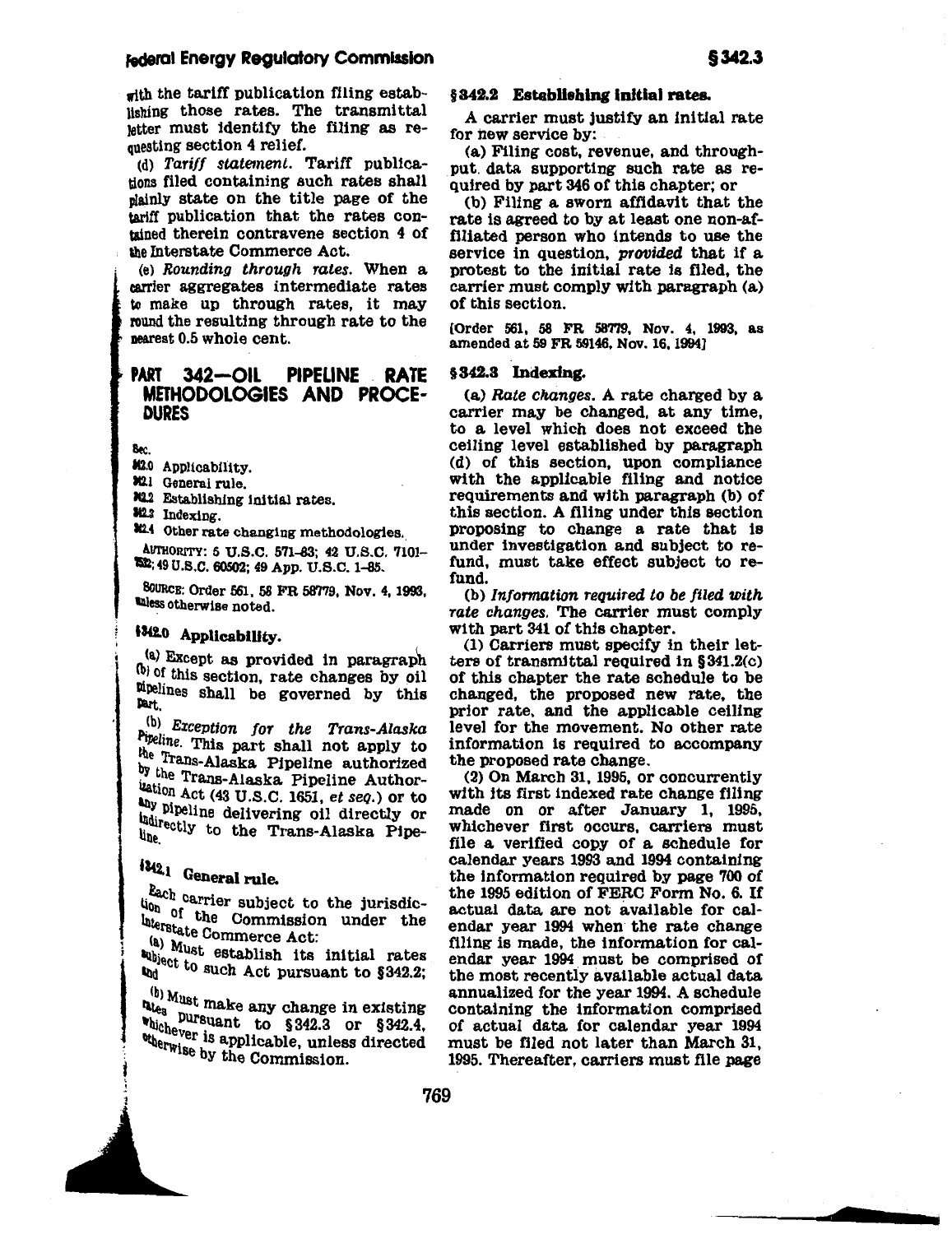### federal Energy Regulatory Commission

with the tariff publication filing establishing those rates. The transmittal letter must identify the filing as requesting section 4 relief.

(d) Tariff statement. Tariff publications filed containing such rates shall plainly state on the title page of the tariff publication that the rates contained therein contravene section 4 of the Interstate Commerce Act.

(e) Rounding through rates. When a carrier aggregates intermediate rates to make up through rates, it may round the resulting through rate to the nearest 0.5 whole cent.

#### **PIPELINE RATE PART**  $342 - OIL$ **METHODOLOGIES AND PROCE-DURES**

Bec.

\$12.0 Applicability.

312.1 General rule.

302.2 Establishing initial rates.

342.3 Indexing.

3124 Other rate changing methodologies.

AUTHORITY: 5 U.S.C. 571-83; 42 U.S.C. 7101-752; 49 U.S.C. 60502; 49 App. U.S.C. 1-85.

80URCE: Order 561, 58 FR 58779, Nov. 4, 1993, unless otherwise noted.

### 13420 Applicability.

(a) Except as provided in paragraph (b) of this section, rate changes by oil Mpelines shall be governed by this Part.

(b) Exception for the Trans-Alaska Pipeline. This part shall not apply to the Trans-Alaska Pipeline authorized by the Trans-Alaska Pipeline Authorization Act (43 U.S.C. 1651, et seq.) or to any pipeline delivering oil directly or indirectly to the Trans-Alaska Pipe-

# 1342.1 General rule.

Each carrier subject to the jurisdicuon of the Commission under the Interstate Commerce Act:

(a) Must establish its initial rates upject to such Act pursuant to §342.2;

 $\frac{1}{2}$ <sup>(b)</sup> Must make any change in existing whichever is applicable, unless directed<br>when we is applicable, unless directed otherwise by the Commission.

### §342.2 Establishing initial rates.

A carrier must justify an initial rate for new service by:

(a) Filing cost, revenue, and throughput data supporting such rate as required by part 346 of this chapter; or

(b) Filing a sworn affidavit that the rate is agreed to by at least one non-affiliated person who intends to use the service in question, provided that if a protest to the initial rate is filed, the carrier must comply with paragraph (a) of this section.

[Order 561, 58 FR 58779, Nov. 4, 1993, as amended at 59 FR 59146, Nov. 16, 1994)

#### §342.3 Indexing.

(a) Rate changes. A rate charged by a carrier may be changed, at any time, to a level which does not exceed the ceiling level established by paragraph (d) of this section, upon compliance with the applicable filing and notice requirements and with paragraph (b) of this section. A filing under this section proposing to change a rate that is under investigation and subject to refund, must take effect subject to refund.

(b) Information required to be filed with rate changes. The carrier must comply with part 341 of this chapter.

(1) Carriers must specify in their letters of transmittal required in  $§341.2(c)$ of this chapter the rate schedule to be changed, the proposed new rate, the prior rate, and the applicable ceiling level for the movement. No other rate information is required to accompany the proposed rate change.

 $(2)$  On March 31, 1995, or concurrently with its first indexed rate change filing made on or after January 1, 1995, whichever first occurs, carriers must file a verified copy of a schedule for calendar years 1993 and 1994 containing the information required by page 700 of the 1995 edition of FERC Form No. 6. If actual data are not available for calendar year 1994 when the rate change filing is made, the information for calendar year 1994 must be comprised of the most recently available actual data annualized for the year 1994. A schedule containing the information comprised of actual data for calendar year 1994 must be filed not later than March 31, 1995. Thereafter, carriers must file page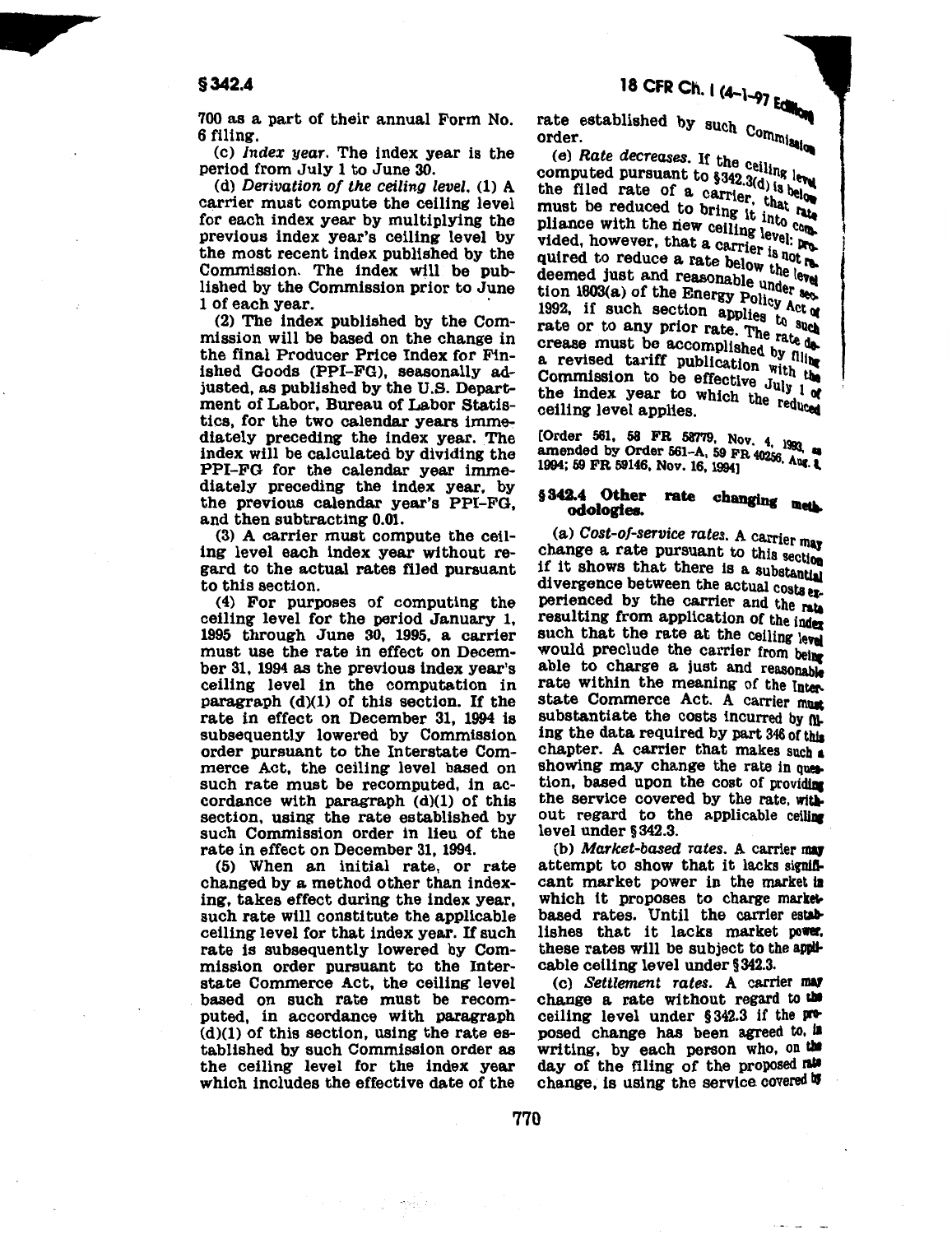# 18 CFR Ch. 1 (4-1-97 Editions)

700 as a part of their annual Form No. 6 filing.

(c) *Index year.* The index year is the period from July 1 to June 30.

(d) *Derivation of the ceiling level.* (1) A carrier must compute the ceiling level for each index year by multiplying the previous index year's ceiling level by the most recent index published by the Commission. The index will be published by the Commission prior to June

 $(2)$  The index published by the Commission will be based on the change in the final Producer Price Index for Finished Goods (PPI-FG), seasonally adjusted, as published by the U.S. Department of Labor, Bureau of Labor Statistics, for the two calendar years immediately preceding the index year. The index will be calculated by dividing the PPI-FG for the calendar year immediately preceding the index year, by the previous calendar year's PPI-FG, and then subtracting 0.01.

(3) A carrier must compute the ceiling level each index year without regard to the actual rates filed pursuant to this section.

( 4) For purposes of computing the ceiling level for the period January 1, 1995 through June 30, 1995, a carrier must use the rate in effect on December 31, 1994 as the previous index year's ceiling level in the computation in paragraph (d)(1) of this section. If the rate in effect on December 31, 1994 is subsequently lowered by Commission order pursuant to the Interstate Commerce Act, the ceiling level based on such rate must be recomputed, in accordance with paragraph (d)(l) of this section, using the rate established by such Commission order in lieu of the rate in effect on December 31, 1994.

(5) When an initial rate, or rate changed by a method other than indexing, takes effect during the index year, such rate will constitute the applicable ceiling level for that index year. If such rate is subsequently lowered by Commission order pursuant to the Interstate Commerce Act, the ceiling level based on such rate must be recomputed, in accordance with paragraph  $(d)(1)$  of this section, using the rate established by such Commission order as the ceiling level for the index year which includes the effective date of the

rencia

rate established by such Commission

order.<br>
(e) Rate decreases. If the ceiling level<br>
computed pursuant to  $\S 342.3(d)$  is below<br>
the filed rate of a carrier, that below<br>
is reduced to bring it into **little** (e) Rate uses the filed pursuant to  $$342.3(d)$  is between  $r_{\text{max}}$  1 and 1.4 of a carrier that below must be reduced to bring it into compliance with the riew ceiling level. The complete into  $\frac{1}{n}$ phance  $\pi$ ----<br>vided, however, that a carrier is not required to reduce a rate below the level deemed just and reasonable under sec-<br>deemed just and Francy Bolt section 1803(a) of the Energy Policy Act of 1992, if such section applies to such rate or to any prior rate. The rate decrease must be accomplished by filing a revised tariff publication with the  $\alpha$  is the commission to be effective July  $1\alpha$ the index year to which the reduced ceiling level applies.

[Order 561, 58 FR 58779, Nov. 4, 1993, as amended by Order 561-A, 59 FR  $40256$ , Ang. 1994; 59 FR 59146, Nov. 16, 1994]

# § 342.4 Other rate changing met.<br>odologies.

(a) *Cost-of-service rates.* A carrier may change a rate pursuant to this section if it shows that there is a substantial divergence between the actual costs  $er<sub>e</sub>$ perienced by the carrier and the rate resulting from application of the index such that the rate at the ceiling level would preclude the carrier from being able to charge a just and reasonable rate within the meaning of the Interstate Commerce Act. A carrier must substantiate the costs incurred by  $nL$ ing the data required by part 346 of this chapter. A carrier that makes such  $\frac{1}{2}$ showing may change the rate in question, based upon the cost of providing the service covered by the rate, without regard to the applicable ceiling level under § 342.3.

(b) *Market-based rates*. A carrier may attempt to show that it lacks significant market power in the market is which it proposes to charge marketbased rates. Until the carrier establishes that it lacks market power. these rates will be subject to the applicable ceiling level under §342.3.

(c) Settlement rates. A carrier may change a rate without regard to the ceiling level under  $§342.3$  if the  $\cancel{100}$ posed change has been agreed to. II writing, by each person who, on the day of the filing of the proposed rate change, is using the service covered  $\mathbf w$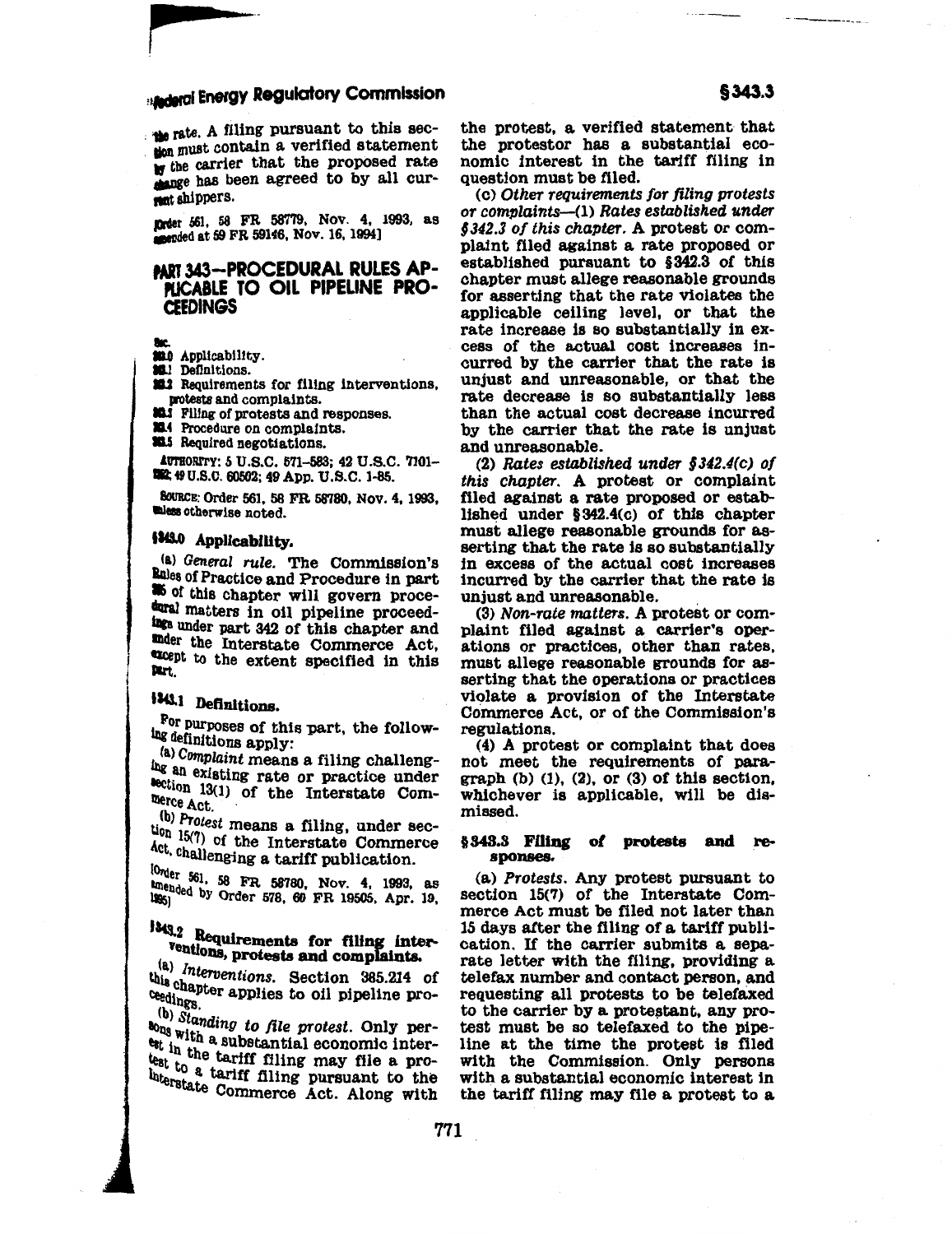### **Aderal Energy Regulatory Commission**

the rate. A filing pursuant to this secton must contain a verified statement w the carrier that the proposed rate change has been agreed to by all curment shippers.

Erder 561, 58 FR 58779, Nov. 4, 1993, as anended at 59 FR 59146, Nov. 16, 1994]

### PART 343-PROCEDURAL RULES AP-PLICABLE TO OIL PIPELINE PRO-**CEEDINGS**

- 
- 800 Applicability.
- **SE1** Definitions.
- **222** Requirements for filing interventions. protests and complaints.
- **313** Filing of protests and responses.
- 314 Procedure on complaints.
- 313.5 Required negotiations.

AUTHORITY: 5 U.S.C. 571-583; 42 U.S.C. 7101-WE: 49 U.S.C. 60502; 49 App. U.S.C. 1-85.

SOURCE: Order 561, 58 FR 58780, Nov. 4, 1993, unless otherwise noted.

### 1343.0 Applicability.

(a) General rule. The Commission's Rules of Practice and Procedure in part as of this chapter will govern procedaral matters in oil pipeline proceedings under part 342 of this chapter and under the Interstate Commerce Act, except to the extent specified in this Part.

### 1343.1 Definitions.

For purposes of this part, the following definitions apply:

(a) Complaint means a filing challenging an existing rate or practice under lection 13(1) of the Interstate Commerce Act.

(b) Protest means a filing, under sec- $\lim_{\epsilon \to 0} 15(7)$  of the Interstate Commerce Act, challenging a tariff publication.

{Order 561, 58 FR 58780, Nov. 4, 1993, as amended by Order 578, 60 FR 19505, Apr. 19,

### 1343.2 Requirements for filing interventions, protests and complaints.

 $\binom{a}{i}$  Interventions. Section 385.214 of this chapter applies to oil pipeline pro-

(b) Standing to file protest. Only perbons with a substantial economic interest in the tariff filing may file a protest to a tariff filing pursuant to the Interstate Commerce Act. Along with the protest, a verified statement that the protestor has a substantial economic interest in the tariff filing in question must be filed.

(c) Other requirements for filing protests or complaints—(1) Rates established under §342.3 of this chapter. A protest or complaint filed against a rate proposed or established pursuant to §342.3 of this chapter must allege reasonable grounds for asserting that the rate violates the applicable ceiling level, or that the rate increase is so substantially in excess of the actual cost increases incurred by the carrier that the rate is unjust and unreasonable, or that the rate decrease is so substantially less than the actual cost decrease incurred by the carrier that the rate is unjust and unreasonable.

(2) Rates established under  $$342.4(c)$  of this chapter. A protest or complaint filed against a rate proposed or established under  $$342.4(c)$  of this chapter must allege reasonable grounds for asserting that the rate is so substantially in excess of the actual cost increases incurred by the carrier that the rate is unjust and unreasonable.

(3) Non-rate matters. A protest or complaint filed against a carrier's operations or practices, other than rates, must allege reasonable grounds for asserting that the operations or practices violate a provision of the Interstate Commerce Act, or of the Commission's regulations.

(4) A protest or complaint that does not meet the requirements of paragraph  $(b)$   $(1)$ ,  $(2)$ , or  $(3)$  of this section, whichever is applicable, will be dismissed.

#### §343.3 Filing of protests and responses.

(a) Protests. Any protest pursuant to section 15(7) of the Interstate Commerce Act must be filed not later than 15 days after the filing of a tariff publication. If the carrier submits a separate letter with the filing, providing a telefax number and contact person, and requesting all protests to be telefaxed to the carrier by a protestant, any protest must be so telefaxed to the pipeline at the time the protest is filed with the Commission. Only persons with a substantial economic interest in the tariff filing may file a protest to a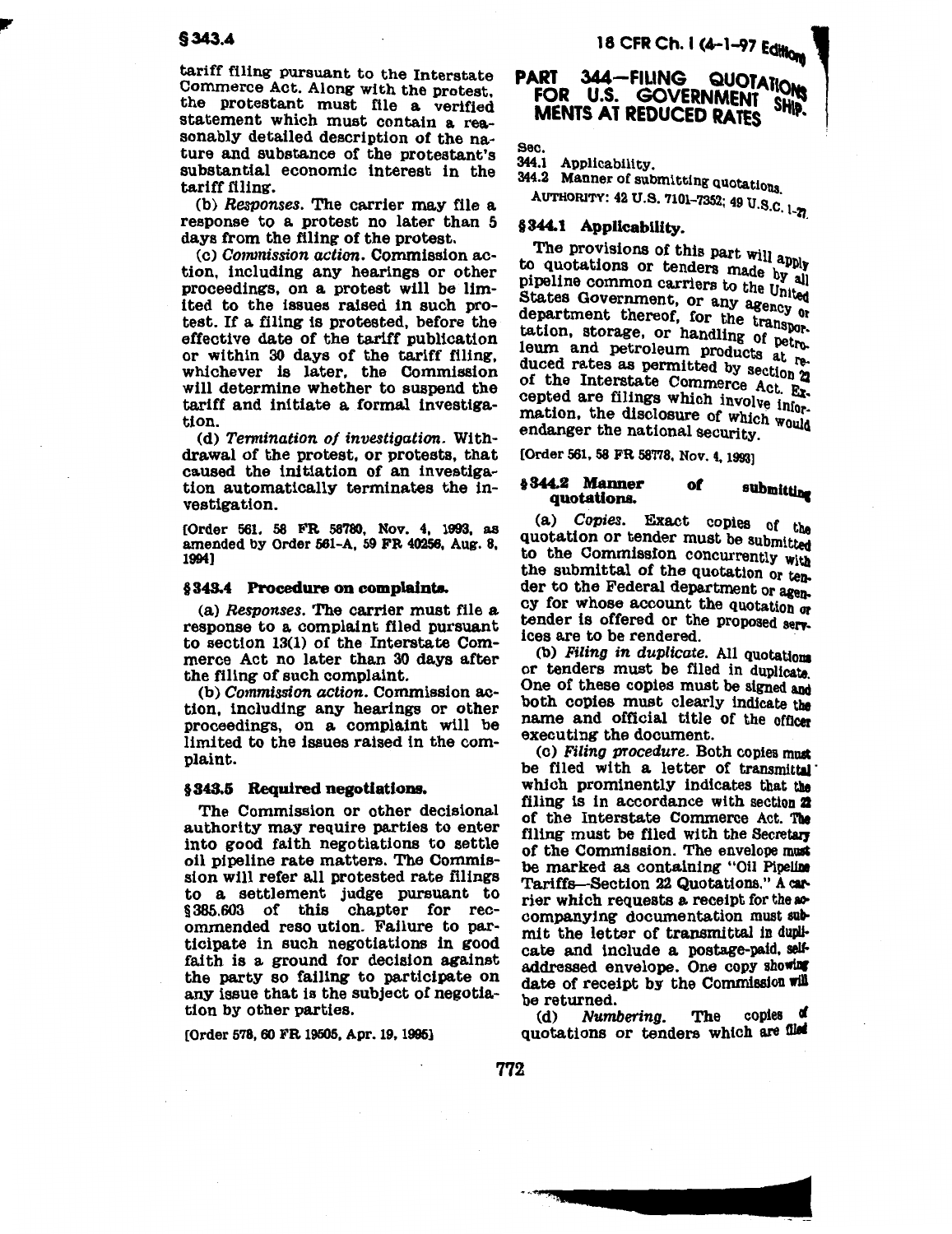tariff filing pursuant to the Interstate<br>Commerce Act. Along with the protest, the protestant must file a verified statement which must contain a reasonably detailed description of the nature and substance of the protestant's substantial economic interest in the tariff filing.

(b) *Responses.* The carrier may file a response to a protest no later than 5 days from the filing of the protest.

(c) Commission action. Commission action, including any hearings or other proceedings, on a protest will be limited to the issues raised in such protest. If a filing is protested, before the effective date of the tariff publication or within 30 days of the tariff filing. whichever is later, the Commission will determine whether to suspend the tariff and initiate a formal investigation.

(d) Termination of investigation. Withdrawal of the protest, or protests, that caused the initiation of an investigation automatically terminates the investigation.

(Order 561, 58 FR 58'780, Nov. 4, 1993, as amended by Order 561-A, 59 FR 40256, Aug. 8, 1994]

#### §343.4 Procedure on complaint&

(a) *Responses.* The carrier must file a response to a complaint filed pursuant to section 13(1) of the Interstate Commerce Act no later than 30 days after the filing of such complaint.

(b) Commission action. Commission action, including any hearings or other proceedings, on a complaint will be limited to the issues raised in the complaint.

### § 343.5 Required negotiations.

The Commission or other decisional authority may require parties to enter into good faith negotiations to settle oil pipeline rate matters. The Commission will refer all protested rate filings to a settlement judge pursuant to  $§ 385.603$  of this ommended reso ution. Failure to participate in such negotiations in good faith is a ground for decision against the party so fa111ng to participate on any issue that is the subject of negotiation by other parties.

[Order 578, 60 FR 19505, Apr. 19, 1995]

## PART 344-FILING QUOTATIONS MENTS AT REDUCED RATES SHIP.

Sec.

344.1 Applicability.

344.2 Manner of submitting quotations. AUTHORITY: 42 U.S. 7101-7352; 49 U.S.C. 1-27

### §344.1 Applicability.

The provisions of this part will apply to quotations or tenders made by all<br>pipeline common carriers to the United States Government, or any agency or department thereof, for the transportation, storage, or handling of petroleum and petroleum products at re.. duced rates as permitted by section 2 of the Interstate Commerce Act. Excepted are filings which involve infor: mation, the disclosure of which would endanger the national security.

(Order 561, 58 FR 587'18, Nov. 4, 1993]

### § 344.2 Manner of submitting<br>quotations.

(a) Copies. Exact copies or the quotation or tender must be submitted to the Commission concurrently with the submittal of the quotation or tea. der to the Federal department or agency for whose account the quotation or tender is offered or the proposed senices are to be rendered.

(b) Filing in duplicate. All quotations or tenders must be filed in duplicate. One of these copies must be signed and both copies must clearly indicate the name and official title of the officer executing the document.

(c) Filing procedure. Both copies must be filed with a letter of transmittal' which prominently indicates that the filing is in accordance with section 22 of the Interstate Commerce Act. The filing must be filed with the Secretary of the Commission. The envelope must be marked as containing "Oil Pipeline Tariffs-Section 22 Quotations." A carrier which requests a receipt for the accompanying documentation must submit the letter of transmittal in duplicate and include a postage-paid. self. addressed envelope. One copy showing date of receipt by the Commission will

be returned.<br>(d) Numbering. The copies of Numbering. quotations or tenders which are filed

 $+0.7000$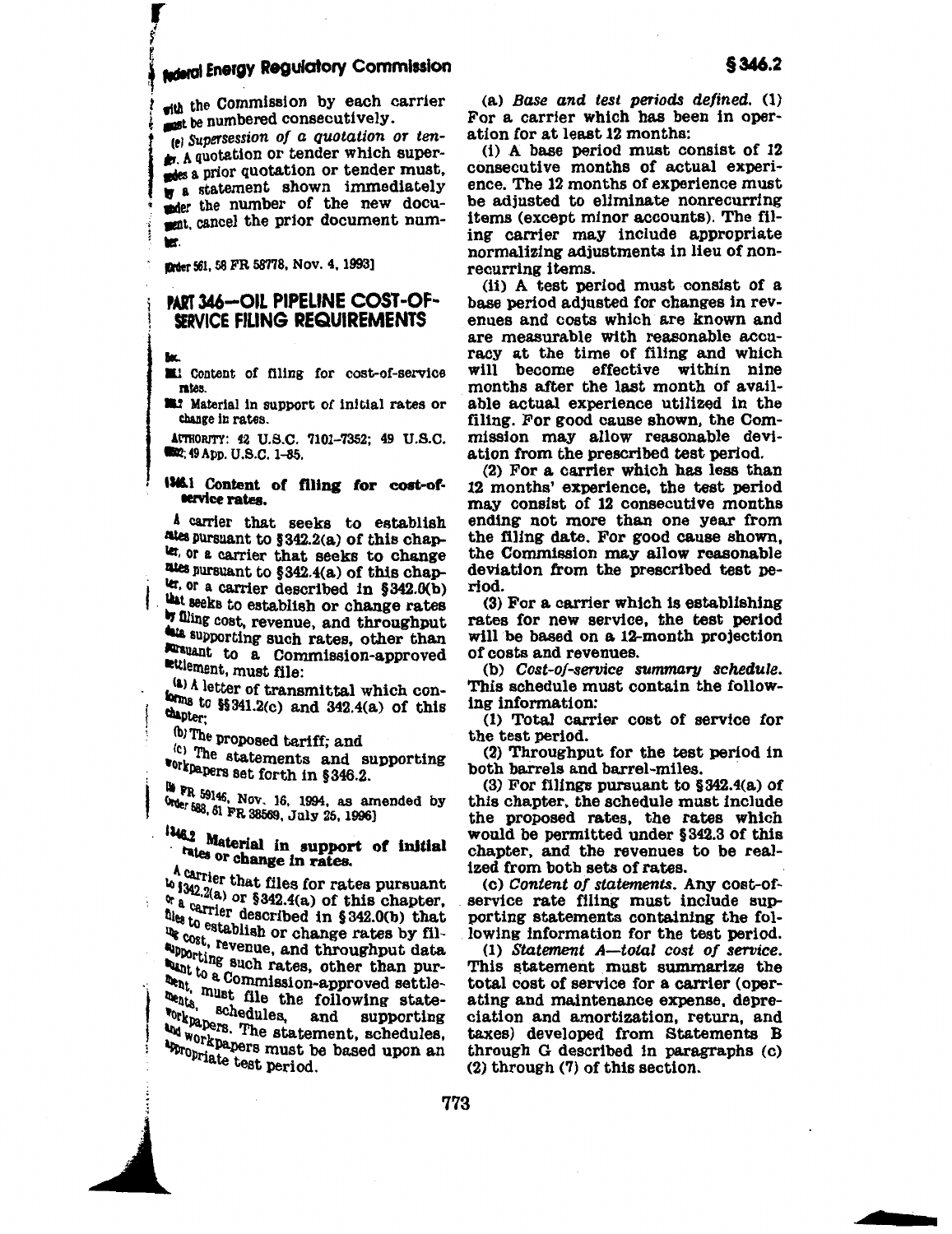## **Aderal Energy Regulatory Commission**

with the Commission by each carrier sust be numbered consecutively.

(e) Supersession of a quotation or ten-A quotation or tender which supersides a prior quotation or tender must. w a statement shown immediately moder the number of the new document, cancel the prior document numm.

firder 561, 58 FR 58778, Nov. 4, 1993]

### **PART 346-OIL PIPELINE COST-OF-**SERVICE FILING REQUIREMENTS

**Let** Content of filing for cost-of-service mtes.

**M42** Material in support of initial rates or change in rates.

AUTHORITY: 42 U.S.C. 7101-7352; 49 U.S.C. **6502; 49 App. U.S.C. 1-85.** 

### 1346.1 Content of filing for cost-oftervice rates.

A carrier that seeks to establish mies pursuant to §342.2(a) of this chaplet, or a carrier that seeks to change rates pursuant to §342.4(a) of this chapter, or a carrier described in §342.0(b) that seeks to establish or change rates if filing cost, revenue, and throughput ata supporting such rates, other than lursuant to a Commission-approved ettlement, must file:

(a) A letter of transmittal which conforms to \$\$341.2(c) and 342.4(a) of this chapter;

(b) The proposed tariff; and

<sup>(c)</sup> The statements and supporting **\*orkpapers set forth in §346.2.** 

**19 PR** 59146, Nov. 16, 1994, as amended by Order 588, 61 FR 38569, July 25, 1996)

146.2 Material in support of initial rates or change in rates.

A carrier that files for rates pursuant  $\frac{1}{2}$  is the chapter of  $\frac{1}{2}$  of this chapter,<br>  $\frac{1}{2}$  or  $\frac{1}{2}$  or  $\frac{1}{2}$  of this chapter,  $\alpha$  a carrier described in §342.0(b) that<br>the carrier described in §342.0(b) that the to establish or change rates by fil-<br>the stablish or change rates by filthe cost, revenue, and throughput data apporting such rates, other than purant to a Commission-approved settle-<br>then to a Commission-approved settlethent, must file the following statements, unust lile the ionium and supporting **Norkpapers.** The statement, schedules, Way where. The statement, which an an workpapers must be based upon an Appropriate test period.

(a) Base and test periods defined. (1) For a carrier which has been in operation for at least 12 months:

(i) A base period must consist of 12 consecutive months of actual experience. The 12 months of experience must be adjusted to eliminate nonrecurring items (except minor accounts). The filing carrier may include appropriate normalizing adjustments in lieu of nonrecurring items.

(ii) A test period must consist of a base period adjusted for changes in revenues and costs which are known and are measurable with reasonable accuracy at the time of filing and which will become effective within nine months after the last month of available actual experience utilized in the filing. For good cause shown, the Commission may allow reasonable deviation from the prescribed test period.

(2) For a carrier which has less than 12 months' experience, the test period may consist of 12 consecutive months ending not more than one year from the filing date. For good cause shown, the Commission may allow reasonable deviation from the prescribed test period.

(3) For a carrier which is establishing rates for new service, the test period will be based on a 12-month projection of costs and revenues.

(b) Cost-of-service summary schedule. This schedule must contain the following information:

(1) Total carrier cost of service for the test period.

(2) Throughput for the test period in both barrels and barrel-miles.

(3) For filings pursuant to  $§342.4(a)$  of this chapter, the schedule must include the proposed rates, the rates which would be permitted under §342.3 of this chapter, and the revenues to be realized from both sets of rates.

(c) Content of statements. Any cost-ofservice rate filing must include supporting statements containing the following information for the test period.

(1) Statement A-total cost of service. This statement must summarize the total cost of service for a carrier (operating and maintenance expense, depreciation and amortization, return, and taxes) developed from Statements B through G described in paragraphs (c)  $(2)$  through  $(7)$  of this section.

\$346.2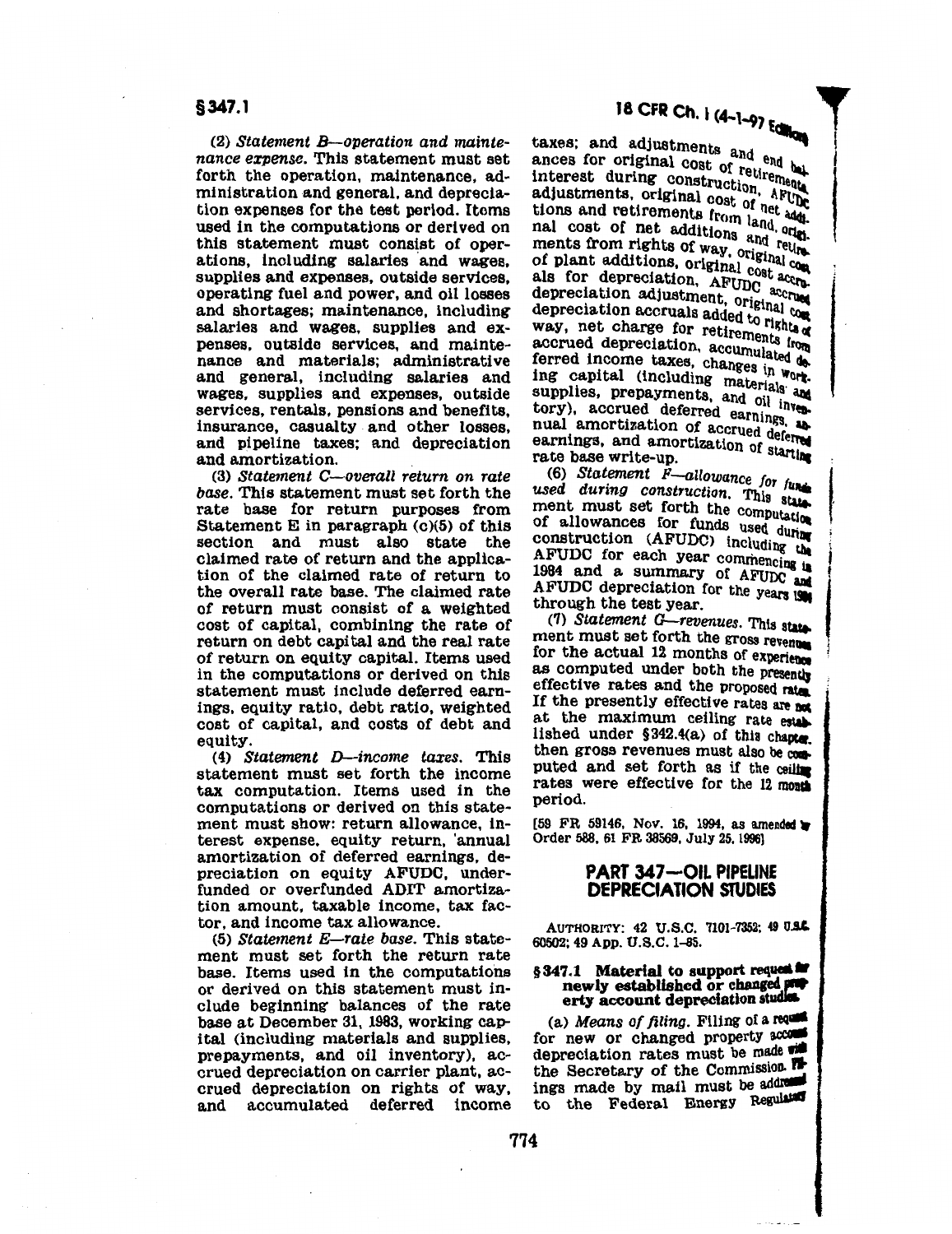(2) *Statement B-operation and maintenance expense.* This statement must set forth the operation, maintenance, administration and general, and depreciation expenses for the test period. Items used in the computations or derived on this statement must consist of operations, including salaries and wages, supplies and expenses, outside services, operating fuel and power, and oil losses and shortages; maintenance, including salaries and wages, supplies and expenses, outside services, and maintenance and materials; administrative and general, including salaries and wages, supplies and expenses, outside services, rentals, pensions and benefits, insurance, casualty and other losses, and pipeline taxes; and depreciation and amortization.

(3) *Statement C-overall return on rate base.* This statement must set forth the rate base for return purposes from Statement E in paragraph (c)(5) of this section and must also state the claimed rate of return and the application of the claimed rate of return to the overall rate base. The claimed rate of return must consist of a weighted cost of capital, combining the rate of return on debt capital and the real rate of return on equity capital. Items used in the computations or derived on this statement must include deferred earnings, equity ratio, debt ratio, weighted cost of capital, and costs of debt and equity.

( 4) *Statement D-income taxes.* This statement must set forth the income tax computation. Items used in the computations or derived on this statement must show: return allowance, interest expense, equity return, 'annual amortization of deferred earnings, depreciation on equity AFUDC, underfunded or overfunded ADIT amortization amount, taxable income, tax factor, and income tax allowance.

(5) *Statement E-rate base.* This statement must set forth the return rate base. Items used in the computations or derived on this statement must include beginning balances of the rate base at December 31, 1983, working capital (including materials and supplies, prepayments, and oil inventory), accrued depreciation on carrier plant, accrued depreciation on rights of way, and accumulated deferred income

taxes; and adjustments and  $en$ d ances for original cost of  $_{\text{rati.}}$   $_{\text{bal}}$ interest during construction area ances ion original construction, APUM<br>adjustments, original cost of net and net income in a ddd. adjustments from land, and the net additions and control of net additions and. olds. mal cost of net additions and return<br>ments from rights of way, original cost<br>of plant additions, original cost accrenear concern rights of way, original cost of plant additions, original cost accreases also for depreciation, AFUDC accreases als for depreciation adjustment, original compared of the compared of the compared of the compared of  $\sim$ depreciation accruals added to rights of way, net charge for retirements from accrued depreciation, accU:::erts rl'lltta ferred income taxes, changes in work. ing capital (including materials and supplies, prepayments, and oil inves $tory$ ), accrued deferred earnings nual amortization of accrued deferred<br>earnings, and amortization of starting<br>rate base write-up. (6) Statement F-allowance for function of stating<br>(6) *Statement F-allowance for function* details and during construction. This

**1000** (6) Statement F-allowance for fundated during construction. This statement must set forth the computation ment increase for funds used during<br>construction (AFUDC) including the AFUDC for each year commencing in 1984 and a summary of AFUDC and AFUDC depreciation for the years is

(7) *Statement G-revenues.* This star. ment must set forth the gross revenue for the actual 12 months of experience as computed under both the presently effective rates and the proposed rate If the presently effective rates are  $m$ at the maximum ceiling rate establi lished under  $§342.4(a)$  of this chapter. then gross revenues must also be coa. puted and set forth as if the ceiling rates were effective for the 12 month period.

 $[59$  FR 59146, Nov. 16, 1994, as amended  $\blacktriangleright$ Order 588, 61 FR 38569, July 25, 1996]

### PART 347-OIL PIPELINE DEPRECIATION STUDIES

AUTHORITY: 42 U.S.C. 7101-7352; 49 U.S.C. 60502; 49 App. U.S.C. 1-85.

### § 347.1 Material to support request and newly established or changed proportionally erty account depreciation studies.

(a) *Means of filing.* Filing of a requisition for new or changed property accusion depreciation rates must be made  $\overline{u}$ . the Secretary of the Commission. ings made by mail must be addressed to the Federal Energy Regulated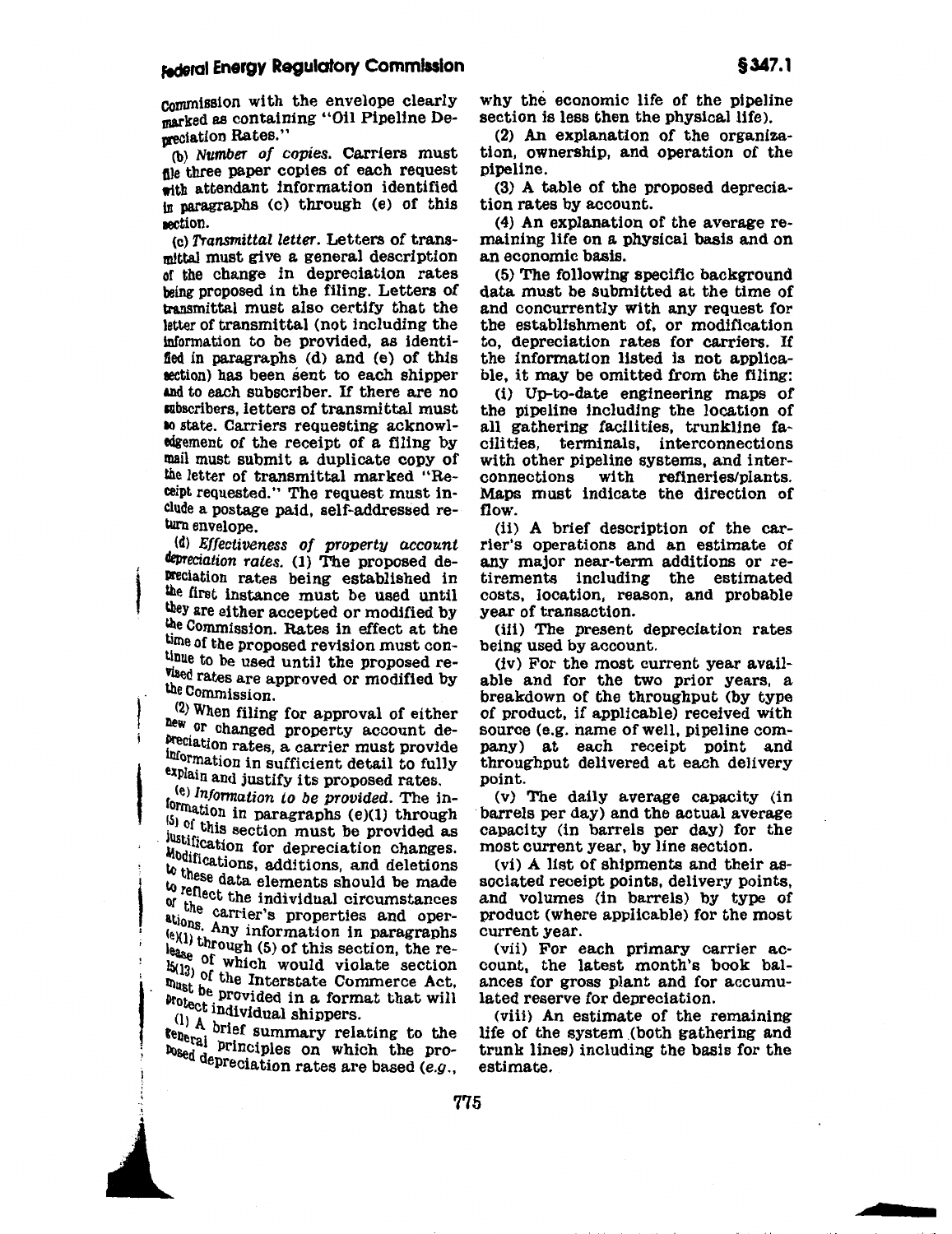eommission with the envelope clearly marked as containing "Oil Pipeline Depreciation Rates."

(b) Number of copies. Carriers must file three paper copies of each request with attendant information identified tn paragraphs (c) through (e) of this eection.

(c) Transmittal letter. Letters of transmittal must give a general description of the change in depreciation rates being proposed in the filing. Letters of transmittal must also certify that the letter of transmittal (not including the information to be provided, as identified in paragraphs  $(d)$  and  $(e)$  of this section) has been sent to each shipper and to each subscriber. If there are no aubscribers, letters of transmittal must 10 state. Carriers requesting acknowledgement of the receipt of a filing by mail must submit a duplicate copy of the letter of transmittal marked "Receipt requested." The request must include a postage paid, self-addressed return envelope.

(d) Effectiveness of property account depreciation rates. (1) The proposed de-Preciation rates being established in the first instance must be used until they are either accepted or modified by the Commission. Rates in effect at the time of the proposed revision must con-<br>tinue to be used until the proposed revised rates are approved or modified by the Commission.

(2) When filing for approval of either new or changed property account de-Preciation rates, a carrier must provide<br>information in sufficient detail to fully

Explain and justify its proposed rates.<br>(e) *Information to be provided*. The information in paragraphs (e)(1) through  $(e)$  Information to be provided. The in- $^{(5)}$  of this section must be provided as justification for depreciation changes. Modifications, additions, and deletions to these data elements should be made to reflect the individual circumstances  $\frac{u_{\text{ine}}}{v_{\text{at}}}$  carrier's properties and operations. Any information in paragraphs  $(e)(1)$  through (5) of this section, the re-I  $\frac{1}{15}$  of which would violate section  $\frac{15(13)}{200}$  of the Interstate Commerce Act, must be provided in a format that will brotect individual shippers.

!

'.

 $r_{\text{Reperal}}^{(1)}$  A brief summary relating to the prob<sub>sed</sub> depreciation rates are based (e.g., why the economic life of the pipeline section is less then the physical life).

(2) An explanation of the organization, ownership, and operation of the pipeline.

(3) A table of the proposed depreciation rates by account.

(4) An explanation of the average remaining life on a physical basis and on an economic basis.

(5) The following specific background data must be submitted at the time of and concurrently with any request for the establishment of, or modification to, depreciation rates for carriers. If the information listed is not applicable, it may be omitted from the filing:

(i) Up-to-date engineering maps of the pipeline including the location of all gathering facilities, trunkline facilities, terminals, interconnections with other pipeline systems, and interconnections with refineries/plants. Maps must indicate the direction of flow.

(ii) A brief description of the carrier's operations and an estimate of any major near-term additions or retirements including the estimated costs, location, reason, and probable year of transaction.

(iii) The present depreciation rates being used by account.

(iv) For the most current year available and for the two prior years, a breakdown or the throughput (by type of product, if applicable) received with source (e.g. name of well, pipeline company) at each receipt point and throughput delivered at each delivery point.

(v) The daily average capacity (in barrels per day) and the actual average capacity (in barrels per day) for the most current year, by line section.

(vi) A list of shipments and their associated receipt points, delivery points, and volumes (in barrels) by type of product (where applicable) for the most current year.

(vii) For each primary carrier account, the latest month's book balances for gross plant and for accumulated reserve for depreciation.

(viii) An estimate of the remaining life of the system (both gathering and trunk lines) including the basis for the estimate.

<sup>I</sup>I~ ~ ,, ! I " ' '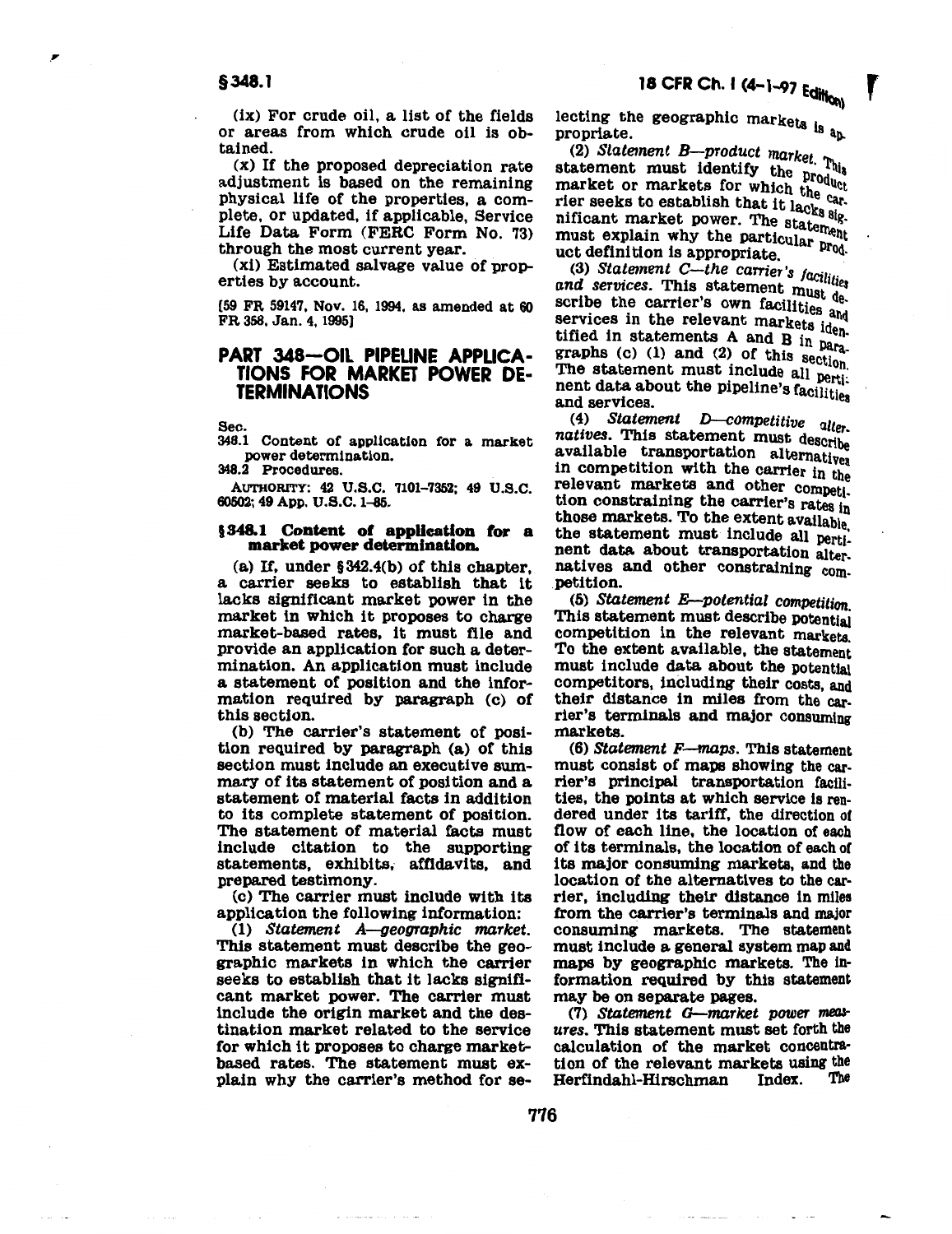·'

(ix) For crude oil, a list of the fields or areas from which crude oil is obtained.

(x) If the proposed depreciation rate adjustment is based on the remaining physical life of the properties, a complete, or updated, if applicable, Service Life Data Form (FERC Form No. 73) through the most current year.

(xi) Estimated salvage value of properties by account.

[59 FR 59147, Nov. 16, 1994, as amended at 60 FR 358, Jan. 4, 1995]

### PART 348-OIL PIPELINE APPLICA-TIONS FOR MARKET POWER DE-TERMINATIONS

Sec.

348.1 Content of application for a market power determination.

348.2 Procedures.

AUTHORITY: 42 U.S.C. 7101-7352; 49 U.S.C. 60502; 49 App. U.S.C. 1-a&.

### §348.1 Content of application for a market power determination.

(a) If, under §342.4(b) of this chapter, a carrier seeks to establish that it lacks significant market power in the market in which it proposes to charge market-based rates, it must file and provide an application for such a determination. An application must include a statement of position and the information required by paragraph {c) of this section.

(b) The carrier's statement of position required by paragraph {a) of this section must include an executive summary of its statement of position and a statement of material facts in addition to its complete statement of position. The statement of material facts must include citation to the supporting statements, exhibits, affidavits, and prepared testimony.

(c) The carrier must include with its application the following information:

(1) *Statement A-geographic market.* This statement must describe the geographic markets in which the carrier seeks to establish that it lacks significant market power. The carrier must include the origin market and the destination market related to the service for which it proposes to charge marketbased rates. The statement must explain why the carrier's method for selecting the geographic markets i. propriate.  $\frac{18}{9}a_p$ 

(2) *Statement B-product market*  statement must identify the  $_{\text{probability}}$  and  $_{\text{velocity}}$ market or markets for which the carrier seeks to establish that it lacks  $\frac{a}{a}$ . nificant market power. The statement must explain why the particular product definition is appropriate.

(3) *Statement C-the carrier's facilities* and services. This statement must describe the carrier's own facilities and services in the relevant markets identified in statements A and B in paragraphs (c) (1) and (2) of this section. The statement must include all pertinent data about the pipeline's facilities<br>and services.

(4) *Statement D--competitive* alt natives. This statement must describe<br>available transportation alternatives in competition with the carrier in the relevant markets and other competi. tion constraining the carrier's rates In those markets. To the extent available the statement must include all pertinent data about transportation alter. natives and other constraining com. petition.

(5) *Statement E-potential competition.*  This statement must describe potential competition in the relevant markets. To the extent available, the statement must include data about the potential competitors, including their costs, and their distance in miles from the carrier's terminals and major consuming markets.

(6) *Statement F-maps.* This statement must consist of maps showing the carrier's principal transportation facilities, the points at which service is rendered under its tariff, the direction or flow of each line, the location of each of its terminals, the location of each or its major consuming markets, and the location of the alternatives to the carrier, including their distance in miles from the carrier's terminals and major consuming markets. The statement must include a general system map and maps by geographic markets. The information required by this statement may be on separate pages.

(7) *Statement G-market power mea& ures.* This statement must set forth the calculation of the market concentration of the relevant markets using the<br>Herfindahl-Hirschman Index. The Herfindahl-Hirschman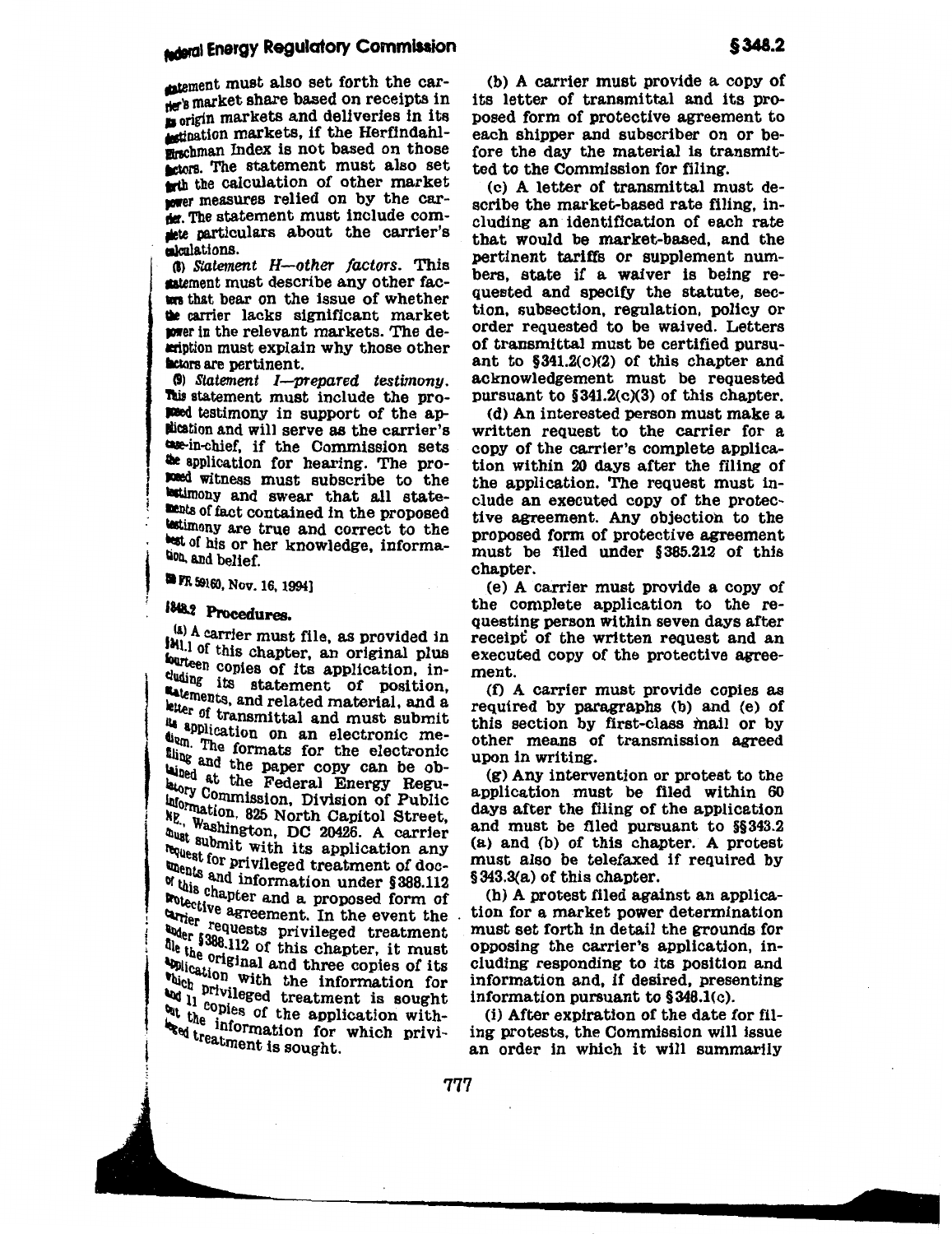### **sideral Energy Regulatory Commission**

matement must also set forth the carner's market share based on receipts in to origin markets and deliveries in its **Actination markets, if the Herfindahl**mirschman Index is not based on those actors. The statement must also set teth the calculation of other market nower measures relied on by the carder. The statement must include comthe particulars about the carrier's calculations.

(b) Statement H--other factors. This stement must describe any other factors that bear on the issue of whether the carrier lacks significant market wer in the relevant markets. The description must explain why those other **actors** are pertinent.

(9) Statement I-prepared testimony. This statement must include the proposed testimony in support of the ap-Mication and will serve as the carrier's due-in-chief, if the Commission sets the application for hearing. The propoed witness must subscribe to the testimony and swear that all statements of fact contained in the proposed testimony are true and correct to the test of his or her knowledge, informahon, and belief.

**PR 59160, Nov. 16, 1994]** 

### 1848.2 Procedures.

(a) A carrier must file, as provided in [Ml.] of this chapter, an original plus fourteen copies of its application, induding its statement of position, satements, and related material, and a letter of transmittal and must submit application on an electronic medum. The formats for the electronic thing and the paper copy can be obuined at the Federal Energy Regulatory Commission, Division of Public Information, 825 North Capitol Street, Me, Washington, DC 20426. A carrier must submit with its application any housest for privileged treatment of doc-When the and information under §388.112 of this chapter and a proposed form of motective agreement. In the event the contract of the contract of the contract of the contract of the contract of the contract of the contract of the contract of the contract of the contract of the contract of the contract drier requests privileged treatment ther s388.112 of this chapter, it must<br>the 1938.112 of this chapter, it must the the original and three copies of its<br>unline original and three copies of its **Application** with the information for bluch privileged treatment is sought the incopies of the application withbut the information for which priviegg treatment is sought.

(b) A carrier must provide a copy of its letter of transmittal and its proposed form of protective agreement to each shipper and subscriber on or before the day the material is transmitted to the Commission for filing.

(c) A letter of transmittal must describe the market-based rate filing, including an identification of each rate that would be market-based, and the pertinent tariffs or supplement numbers, state if a waiver is being requested and specify the statute, section, subsection, regulation, policy or order requested to be waived. Letters of transmittal must be certified pursuant to  $$341.2(c)(2)$  of this chapter and acknowledgement must be requested pursuant to  $\S 341.2(c)(3)$  of this chapter.

(d) An interested person must make a written request to the carrier for a copy of the carrier's complete application within 20 days after the filing of the application. The request must include an executed copy of the protective agreement. Any objection to the proposed form of protective agreement must be filed under §385.212 of this chapter.

(e) A carrier must provide a copy of the complete application to the requesting person within seven days after receipt of the written request and an executed copy of the protective agreement.

(f) A carrier must provide copies as required by paragraphs (b) and (e) of this section by first-class mail or by other means of transmission agreed upon in writing.

 $(g)$  Any intervention or protest to the application must be filed within 60 days after the filing of the application and must be filed pursuant to §§343.2 (a) and (b) of this chapter. A protest must also be telefaxed if required by §343.3(a) of this chapter.

(h) A protest filed against an application for a market power determination must set forth in detail the grounds for opposing the carrier's application, including responding to its position and information and, if desired, presenting information pursuant to  $$348.1(c)$ .

(i) After expiration of the date for filing protests, the Commission will issue an order in which it will summarily